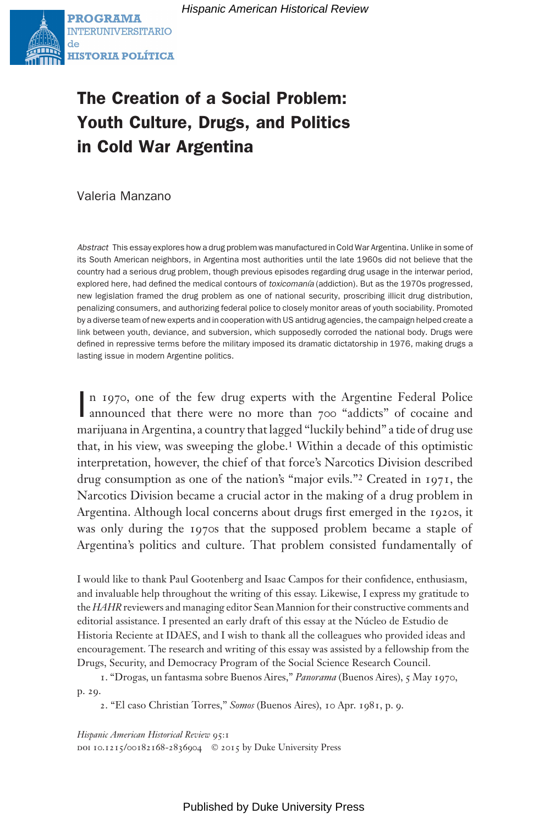

# The Creation of a Social Problem: Youth Culture, Drugs, and Politics in Cold War Argentina

Valeria Manzano

Abstract This essay explores how a drug problem was manufactured in Cold War Argentina. Unlike in some of its South American neighbors, in Argentina most authorities until the late 1960s did not believe that the country had a serious drug problem, though previous episodes regarding drug usage in the interwar period, explored here, had defined the medical contours of toxicomania (addiction). But as the 1970s progressed, new legislation framed the drug problem as one of national security, proscribing illicit drug distribution, penalizing consumers, and authorizing federal police to closely monitor areas of youth sociability. Promoted by a diverse team of new experts and in cooperation with US antidrug agencies, the campaign helped create a link between youth, deviance, and subversion, which supposedly corroded the national body. Drugs were defined in repressive terms before the military imposed its dramatic dictatorship in 1976, making drugs a lasting issue in modern Argentine politics.

I n 1970, one of the few drug experts with the Argentine Federal Police announced that there were no more than 700 ''addicts'' of cocaine and marijuana in Argentina, a country that lagged "luckily behind" a tide of drug use that, in his view, was sweeping the globe.1 Within a decade of this optimistic interpretation, however, the chief of that force's Narcotics Division described drug consumption as one of the nation's "major evils."<sup>2</sup> Created in 1971, the Narcotics Division became a crucial actor in the making of a drug problem in Argentina. Although local concerns about drugs first emerged in the 1920s, it was only during the 1970s that the supposed problem became a staple of Argentina's politics and culture. That problem consisted fundamentally of

I would like to thank Paul Gootenberg and Isaac Campos for their confidence, enthusiasm, and invaluable help throughout the writing of this essay. Likewise, I express my gratitude to the HAHR reviewers and managing editor Sean Mannion for their constructive comments and editorial assistance. I presented an early draft of this essay at the Núcleo de Estudio de Historia Reciente at IDAES, and I wish to thank all the colleagues who provided ideas and encouragement. The research and writing of this essay was assisted by a fellowship from the Drugs, Security, and Democracy Program of the Social Science Research Council.

1. "Drogas, un fantasma sobre Buenos Aires," Panorama (Buenos Aires), 5 May 1970, p. 29.

2. ''El caso Christian Torres,'' Somos (Buenos Aires), 10 Apr. 1981, p. 9.

Hispanic American Historical Review 95:1 DOI 10.1215/00182168-2836904 © 2015 by Duke University Press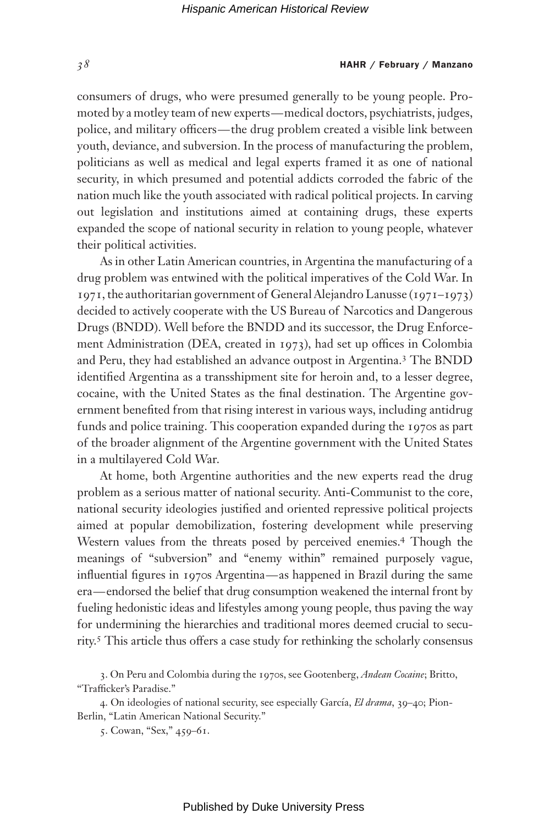consumers of drugs, who were presumed generally to be young people. Promoted by a motley team of new experts—medical doctors, psychiatrists, judges, police, and military officers—the drug problem created a visible link between youth, deviance, and subversion. In the process of manufacturing the problem, politicians as well as medical and legal experts framed it as one of national security, in which presumed and potential addicts corroded the fabric of the nation much like the youth associated with radical political projects. In carving out legislation and institutions aimed at containing drugs, these experts expanded the scope of national security in relation to young people, whatever their political activities.

As in other Latin American countries, in Argentina the manufacturing of a drug problem was entwined with the political imperatives of the Cold War. In 1971, the authoritarian government of General Alejandro Lanusse (1971–1973) decided to actively cooperate with the US Bureau of Narcotics and Dangerous Drugs (BNDD). Well before the BNDD and its successor, the Drug Enforcement Administration (DEA, created in 1973), had set up offices in Colombia and Peru, they had established an advance outpost in Argentina.3 The BNDD identified Argentina as a transshipment site for heroin and, to a lesser degree, cocaine, with the United States as the final destination. The Argentine government benefited from that rising interest in various ways, including antidrug funds and police training. This cooperation expanded during the 1970s as part of the broader alignment of the Argentine government with the United States in a multilayered Cold War.

At home, both Argentine authorities and the new experts read the drug problem as a serious matter of national security. Anti-Communist to the core, national security ideologies justified and oriented repressive political projects aimed at popular demobilization, fostering development while preserving Western values from the threats posed by perceived enemies.<sup>4</sup> Though the meanings of ''subversion'' and ''enemy within'' remained purposely vague, influential figures in 1970s Argentina—as happened in Brazil during the same era—endorsed the belief that drug consumption weakened the internal front by fueling hedonistic ideas and lifestyles among young people, thus paving the way for undermining the hierarchies and traditional mores deemed crucial to security.5 This article thus offers a case study for rethinking the scholarly consensus

<sup>3.</sup> On Peru and Colombia during the 1970s, see Gootenberg, Andean Cocaine; Britto, ''Trafficker's Paradise.''

<sup>4.</sup> On ideologies of national security, see especially García, El drama, 39-40; Pion-Berlin, "Latin American National Security."

<sup>5.</sup> Cowan, "Sex," 459-61.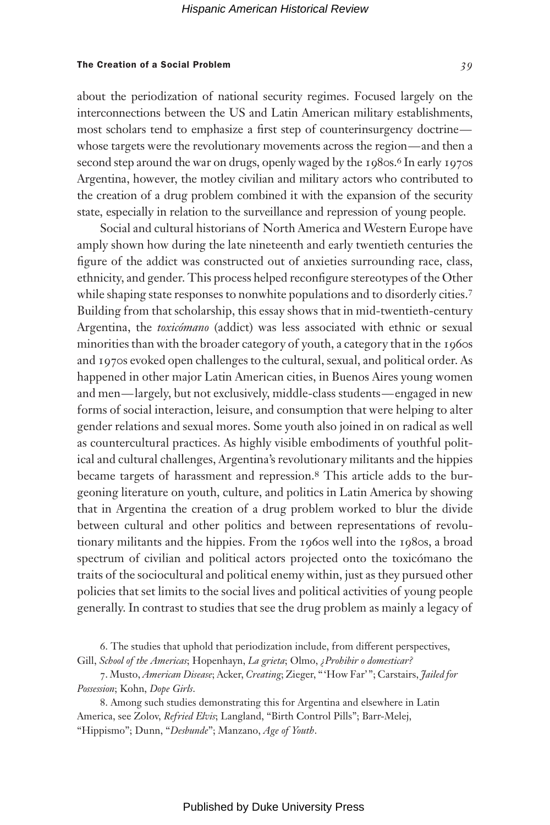about the periodization of national security regimes. Focused largely on the interconnections between the US and Latin American military establishments, most scholars tend to emphasize a first step of counterinsurgency doctrine whose targets were the revolutionary movements across the region—and then a second step around the war on drugs, openly waged by the 1980s.<sup>6</sup> In early 1970s Argentina, however, the motley civilian and military actors who contributed to the creation of a drug problem combined it with the expansion of the security state, especially in relation to the surveillance and repression of young people.

Social and cultural historians of North America and Western Europe have amply shown how during the late nineteenth and early twentieth centuries the figure of the addict was constructed out of anxieties surrounding race, class, ethnicity, and gender. This process helped reconfigure stereotypes of the Other while shaping state responses to nonwhite populations and to disorderly cities.<sup>7</sup> Building from that scholarship, this essay shows that in mid-twentieth-century Argentina, the toxicómano (addict) was less associated with ethnic or sexual minorities than with the broader category of youth, a category that in the 1960s and 1970s evoked open challenges to the cultural, sexual, and political order. As happened in other major Latin American cities, in Buenos Aires young women and men—largely, but not exclusively, middle-class students—engaged in new forms of social interaction, leisure, and consumption that were helping to alter gender relations and sexual mores. Some youth also joined in on radical as well as countercultural practices. As highly visible embodiments of youthful political and cultural challenges, Argentina's revolutionary militants and the hippies became targets of harassment and repression.8 This article adds to the burgeoning literature on youth, culture, and politics in Latin America by showing that in Argentina the creation of a drug problem worked to blur the divide between cultural and other politics and between representations of revolutionary militants and the hippies. From the 1960s well into the 1980s, a broad spectrum of civilian and political actors projected onto the toxicómano the traits of the sociocultural and political enemy within, just as they pursued other policies that set limits to the social lives and political activities of young people generally. In contrast to studies that see the drug problem as mainly a legacy of

6. The studies that uphold that periodization include, from different perspectives, Gill, School of the Americas; Hopenhayn, La grieta; Olmo, ¿Prohibir o domesticar?

<sup>7.</sup> Musto, American Disease; Acker, Creating; Zieger, "'How Far'"; Carstairs, Jailed for Possession; Kohn, Dope Girls.

<sup>8.</sup> Among such studies demonstrating this for Argentina and elsewhere in Latin America, see Zolov, Refried Elvis; Langland, "Birth Control Pills"; Barr-Melej, "Hippismo"; Dunn, "Desbunde"; Manzano, Age of Youth.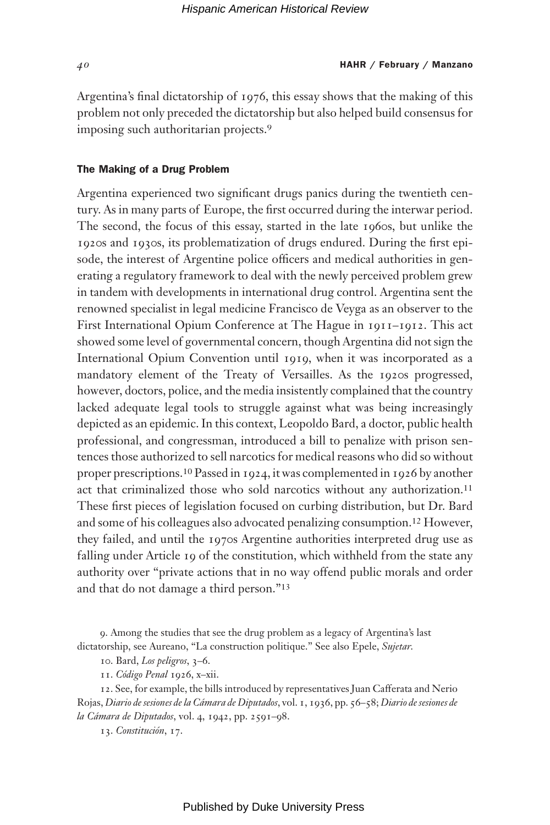Argentina's final dictatorship of 1976, this essay shows that the making of this problem not only preceded the dictatorship but also helped build consensus for imposing such authoritarian projects.9

# The Making of a Drug Problem

Argentina experienced two significant drugs panics during the twentieth century. As in many parts of Europe, the first occurred during the interwar period. The second, the focus of this essay, started in the late 1960s, but unlike the 1920s and 1930s, its problematization of drugs endured. During the first episode, the interest of Argentine police officers and medical authorities in generating a regulatory framework to deal with the newly perceived problem grew in tandem with developments in international drug control. Argentina sent the renowned specialist in legal medicine Francisco de Veyga as an observer to the First International Opium Conference at The Hague in 1911–1912. This act showed some level of governmental concern, though Argentina did not sign the International Opium Convention until 1919, when it was incorporated as a mandatory element of the Treaty of Versailles. As the 1920s progressed, however, doctors, police, and the media insistently complained that the country lacked adequate legal tools to struggle against what was being increasingly depicted as an epidemic. In this context, Leopoldo Bard, a doctor, public health professional, and congressman, introduced a bill to penalize with prison sentences those authorized to sell narcotics for medical reasons who did so without proper prescriptions.10 Passed in 1924, it was complemented in 1926 by another act that criminalized those who sold narcotics without any authorization.11 These first pieces of legislation focused on curbing distribution, but Dr. Bard and some of his colleagues also advocated penalizing consumption.12 However, they failed, and until the 1970s Argentine authorities interpreted drug use as falling under Article 19 of the constitution, which withheld from the state any authority over ''private actions that in no way offend public morals and order and that do not damage a third person.''13

9. Among the studies that see the drug problem as a legacy of Argentina's last dictatorship, see Aureano, "La construction politique." See also Epele, Sujetar.

12. See, for example, the bills introduced by representatives Juan Cafferata and Nerio Rojas, Diario de sesiones de la Cámara de Diputados, vol. 1, 1936, pp. 56–58; Diario de sesiones de la Cámara de Diputados, vol. 4, 1942, pp. 2591-98.

13. Constitución, 17.

<sup>10.</sup> Bard, Los peligros, 3–6.

<sup>11.</sup> Código Penal 1926, x-xii.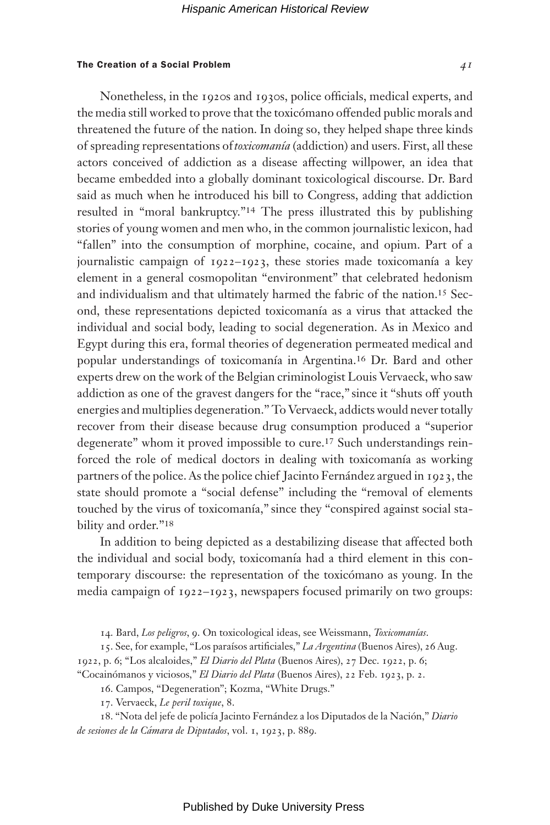Nonetheless, in the 1920s and 1930s, police officials, medical experts, and the media still worked to prove that the toxicómano offended public morals and threatened the future of the nation. In doing so, they helped shape three kinds of spreading representations of toxicomanía (addiction) and users. First, all these actors conceived of addiction as a disease affecting willpower, an idea that became embedded into a globally dominant toxicological discourse. Dr. Bard said as much when he introduced his bill to Congress, adding that addiction resulted in "moral bankruptcy."<sup>14</sup> The press illustrated this by publishing stories of young women and men who, in the common journalistic lexicon, had "fallen" into the consumption of morphine, cocaine, and opium. Part of a journalistic campaign of 1922–1923, these stories made toxicomanía a key element in a general cosmopolitan ''environment'' that celebrated hedonism and individualism and that ultimately harmed the fabric of the nation.15 Second, these representations depicted toxicomanı´a as a virus that attacked the individual and social body, leading to social degeneration. As in Mexico and Egypt during this era, formal theories of degeneration permeated medical and popular understandings of toxicomanía in Argentina.<sup>16</sup> Dr. Bard and other experts drew on the work of the Belgian criminologist Louis Vervaeck, who saw addiction as one of the gravest dangers for the "race," since it "shuts off youth energies and multiplies degeneration.'' To Vervaeck, addicts would never totally recover from their disease because drug consumption produced a ''superior degenerate'' whom it proved impossible to cure.17 Such understandings reinforced the role of medical doctors in dealing with toxicomanía as working partners of the police. As the police chief Jacinto Fernandez argued in 1923, the state should promote a ''social defense'' including the ''removal of elements touched by the virus of toxicomanía," since they "conspired against social stability and order."<sup>18</sup>

In addition to being depicted as a destabilizing disease that affected both the individual and social body, toxicomanía had a third element in this contemporary discourse: the representation of the toxicómano as young. In the media campaign of 1922–1923, newspapers focused primarily on two groups:

14. Bard, Los peligros, 9. On toxicological ideas, see Weissmann, Toxicomanías.

15. See, for example, "Los paraísos artificiales," La Argentina (Buenos Aires), 26 Aug.

1922, p. 6; ''Los alcaloides,'' El Diario del Plata (Buenos Aires), 27 Dec. 1922, p. 6;

"Cocainómanos y viciosos," El Diario del Plata (Buenos Aires), 22 Feb. 1923, p. 2.

16. Campos, ''Degeneration''; Kozma, ''White Drugs.''

17. Vervaeck, Le peril toxique, 8.

18. "Nota del jefe de policía Jacinto Fernández a los Diputados de la Nación," Diario de sesiones de la Cámara de Diputados, vol. 1, 1923, p. 889.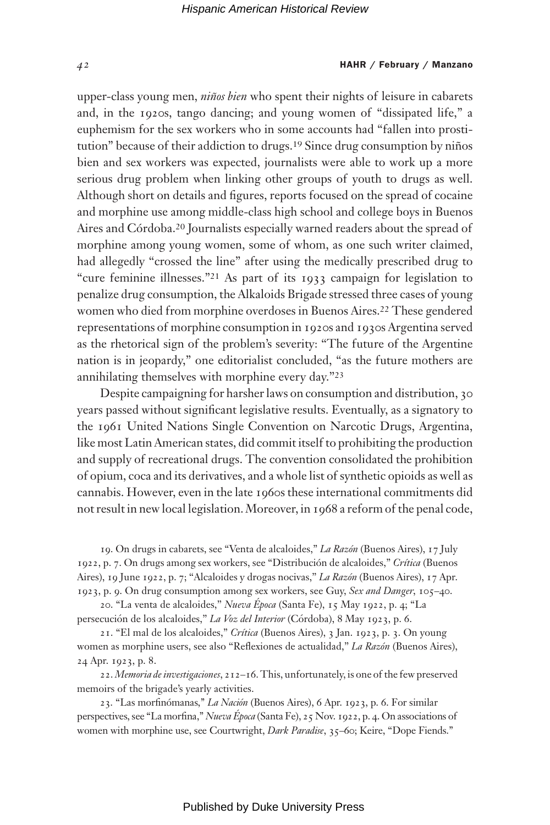upper-class young men, *niños bien* who spent their nights of leisure in cabarets and, in the 1920s, tango dancing; and young women of ''dissipated life,'' a euphemism for the sex workers who in some accounts had ''fallen into prostitution" because of their addiction to drugs.<sup>19</sup> Since drug consumption by niños bien and sex workers was expected, journalists were able to work up a more serious drug problem when linking other groups of youth to drugs as well. Although short on details and figures, reports focused on the spread of cocaine and morphine use among middle-class high school and college boys in Buenos Aires and Córdoba.<sup>20</sup> Journalists especially warned readers about the spread of morphine among young women, some of whom, as one such writer claimed, had allegedly "crossed the line" after using the medically prescribed drug to "cure feminine illnesses."<sup>21</sup> As part of its 1933 campaign for legislation to penalize drug consumption, the Alkaloids Brigade stressed three cases of young women who died from morphine overdoses in Buenos Aires.<sup>22</sup> These gendered representations of morphine consumption in 1920s and 1930s Argentina served as the rhetorical sign of the problem's severity: ''The future of the Argentine nation is in jeopardy," one editorialist concluded, "as the future mothers are annihilating themselves with morphine every day."23

Despite campaigning for harsher laws on consumption and distribution, 30 years passed without significant legislative results. Eventually, as a signatory to the 1961 United Nations Single Convention on Narcotic Drugs, Argentina, like most Latin American states, did commit itself to prohibiting the production and supply of recreational drugs. The convention consolidated the prohibition of opium, coca and its derivatives, and a whole list of synthetic opioids as well as cannabis. However, even in the late 1960s these international commitments did not result in new local legislation. Moreover, in 1968 a reform of the penal code,

19. On drugs in cabarets, see "Venta de alcaloides," La Razón (Buenos Aires), 17 July 1922, p. 7. On drugs among sex workers, see "Distribución de alcaloides," Crítica (Buenos Aires), 19 June 1922, p. 7; "Alcaloides y drogas nocivas," La Razón (Buenos Aires), 17 Apr. 1923, p. 9. On drug consumption among sex workers, see Guy, Sex and Danger, 105–40.

20. "La venta de alcaloides," Nueva Época (Santa Fe), 15 May 1922, p. 4; "La persecución de los alcaloides," La Voz del Interior (Córdoba), 8 May 1923, p. 6.

21. "El mal de los alcaloides," Crítica (Buenos Aires), 3 Jan. 1923, p. 3. On young women as morphine users, see also "Reflexiones de actualidad," La Razón (Buenos Aires), 24 Apr. 1923, p. 8.

22. Memoria de investigaciones, 212–16. This, unfortunately, is one of the few preserved memoirs of the brigade's yearly activities.

23. "Las morfinómanas," La Nación (Buenos Aires), 6 Apr. 1923, p. 6. For similar perspectives, see "La morfina," Nueva Época (Santa Fe), 25 Nov. 1922, p. 4. On associations of women with morphine use, see Courtwright, Dark Paradise, 35-60; Keire, "Dope Fiends."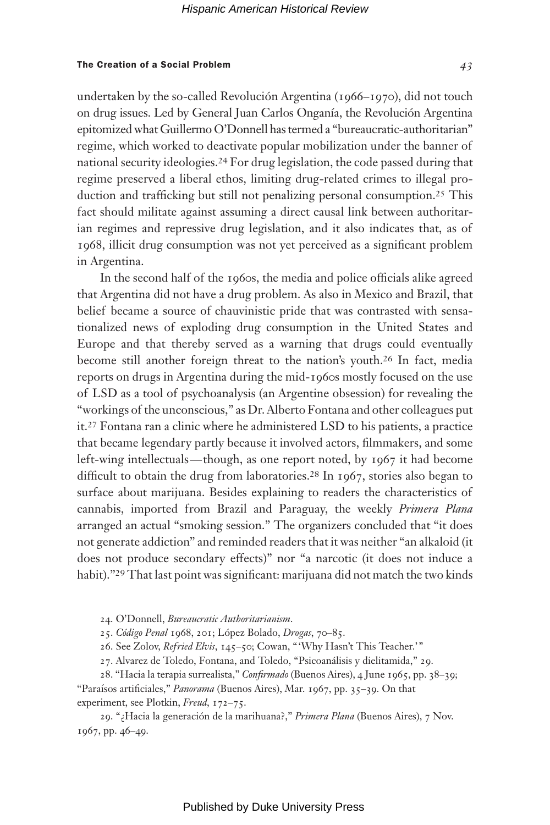undertaken by the so-called Revolución Argentina (1966–1970), did not touch on drug issues. Led by General Juan Carlos Onganía, the Revolución Argentina epitomized what Guillermo O'Donnell has termed a ''bureaucratic-authoritarian'' regime, which worked to deactivate popular mobilization under the banner of national security ideologies.24 For drug legislation, the code passed during that regime preserved a liberal ethos, limiting drug-related crimes to illegal production and trafficking but still not penalizing personal consumption.25 This fact should militate against assuming a direct causal link between authoritarian regimes and repressive drug legislation, and it also indicates that, as of 1968, illicit drug consumption was not yet perceived as a significant problem in Argentina.

In the second half of the 1960s, the media and police officials alike agreed that Argentina did not have a drug problem. As also in Mexico and Brazil, that belief became a source of chauvinistic pride that was contrasted with sensationalized news of exploding drug consumption in the United States and Europe and that thereby served as a warning that drugs could eventually become still another foreign threat to the nation's youth.26 In fact, media reports on drugs in Argentina during the mid-1960s mostly focused on the use of LSD as a tool of psychoanalysis (an Argentine obsession) for revealing the ''workings of the unconscious,'' as Dr. Alberto Fontana and other colleagues put it.27 Fontana ran a clinic where he administered LSD to his patients, a practice that became legendary partly because it involved actors, filmmakers, and some left-wing intellectuals—though, as one report noted, by 1967 it had become difficult to obtain the drug from laboratories.28 In 1967, stories also began to surface about marijuana. Besides explaining to readers the characteristics of cannabis, imported from Brazil and Paraguay, the weekly Primera Plana arranged an actual ''smoking session.'' The organizers concluded that ''it does not generate addiction'' and reminded readers that it was neither ''an alkaloid (it does not produce secondary effects)'' nor ''a narcotic (it does not induce a habit).''29 That last point was significant: marijuana did not match the two kinds

24. O'Donnell, Bureaucratic Authoritarianism.

25. Código Penal 1968, 201; López Bolado, Drogas, 70-85.

26. See Zolov, Refried Elvis, 145-50; Cowan, "'Why Hasn't This Teacher.'"

27. Alvarez de Toledo, Fontana, and Toledo, "Psicoanálisis y dielitamida," 29.

28. "Hacia la terapia surrealista," Confirmado (Buenos Aires), 4 June 1965, pp. 38-39;

"Paraísos artificiales," Panorama (Buenos Aires), Mar. 1967, pp. 35-39. On that experiment, see Plotkin, Freud, 172–75.

29. "¿Hacia la generación de la marihuana?," Primera Plana (Buenos Aires), 7 Nov. 1967, pp. 46–49.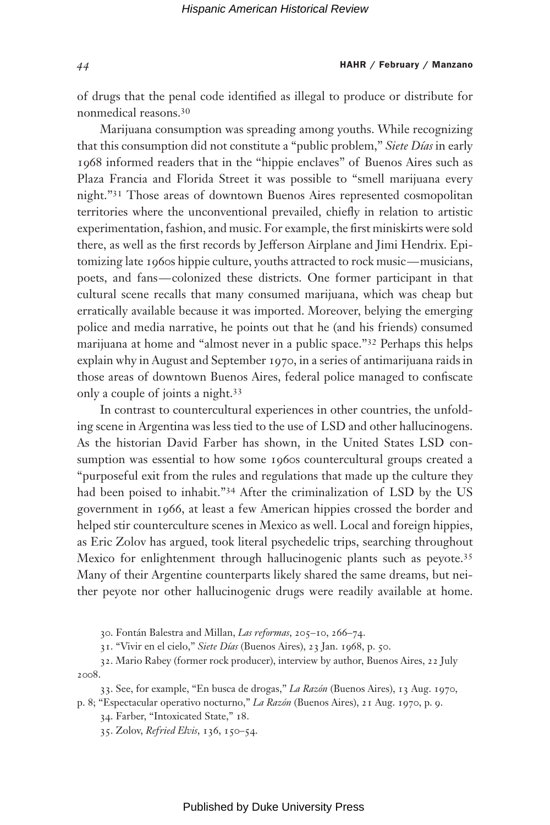of drugs that the penal code identified as illegal to produce or distribute for nonmedical reasons.30

Marijuana consumption was spreading among youths. While recognizing that this consumption did not constitute a "public problem," Siete Días in early 1968 informed readers that in the ''hippie enclaves'' of Buenos Aires such as Plaza Francia and Florida Street it was possible to ''smell marijuana every night.''31 Those areas of downtown Buenos Aires represented cosmopolitan territories where the unconventional prevailed, chiefly in relation to artistic experimentation, fashion, and music. For example, the first miniskirts were sold there, as well as the first records by Jefferson Airplane and Jimi Hendrix. Epitomizing late 1960s hippie culture, youths attracted to rock music—musicians, poets, and fans—colonized these districts. One former participant in that cultural scene recalls that many consumed marijuana, which was cheap but erratically available because it was imported. Moreover, belying the emerging police and media narrative, he points out that he (and his friends) consumed marijuana at home and "almost never in a public space."<sup>32</sup> Perhaps this helps explain why in August and September 1970, in a series of antimarijuana raids in those areas of downtown Buenos Aires, federal police managed to confiscate only a couple of joints a night.33

In contrast to countercultural experiences in other countries, the unfolding scene in Argentina was less tied to the use of LSD and other hallucinogens. As the historian David Farber has shown, in the United States LSD consumption was essential to how some 1960s countercultural groups created a ''purposeful exit from the rules and regulations that made up the culture they had been poised to inhabit."<sup>34</sup> After the criminalization of LSD by the US government in 1966, at least a few American hippies crossed the border and helped stir counterculture scenes in Mexico as well. Local and foreign hippies, as Eric Zolov has argued, took literal psychedelic trips, searching throughout Mexico for enlightenment through hallucinogenic plants such as peyote.<sup>35</sup> Many of their Argentine counterparts likely shared the same dreams, but neither peyote nor other hallucinogenic drugs were readily available at home.

30. Fontán Balestra and Millan, Las reformas, 205–10, 266–74.

31. "Vivir en el cielo," Siete Días (Buenos Aires), 23 Jan. 1968, p. 50.

32. Mario Rabey (former rock producer), interview by author, Buenos Aires, 22 July 2008.

33. See, for example, "En busca de drogas," La Razón (Buenos Aires), 13 Aug. 1970,

p. 8; "Espectacular operativo nocturno," La Razón (Buenos Aires), 21 Aug. 1970, p. 9. 34. Farber, "Intoxicated State," 18.

35. Zolov, Refried Elvis, 136, 150–54.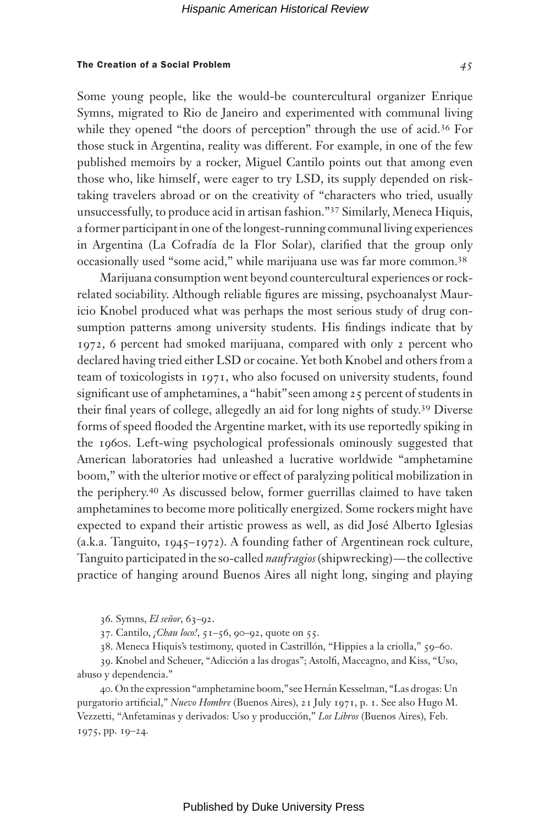Some young people, like the would-be countercultural organizer Enrique Symns, migrated to Rio de Janeiro and experimented with communal living while they opened "the doors of perception" through the use of acid.<sup>36</sup> For those stuck in Argentina, reality was different. For example, in one of the few published memoirs by a rocker, Miguel Cantilo points out that among even those who, like himself, were eager to try LSD, its supply depended on risktaking travelers abroad or on the creativity of ''characters who tried, usually unsuccessfully, to produce acid in artisan fashion.''37 Similarly, Meneca Hiquis, a former participant in one of the longest-running communal living experiences in Argentina (La Cofradı´a de la Flor Solar), clarified that the group only occasionally used ''some acid,'' while marijuana use was far more common.38

Marijuana consumption went beyond countercultural experiences or rockrelated sociability. Although reliable figures are missing, psychoanalyst Mauricio Knobel produced what was perhaps the most serious study of drug consumption patterns among university students. His findings indicate that by 1972, 6 percent had smoked marijuana, compared with only 2 percent who declared having tried either LSD or cocaine. Yet both Knobel and others from a team of toxicologists in 1971, who also focused on university students, found significant use of amphetamines, a "habit" seen among 25 percent of students in their final years of college, allegedly an aid for long nights of study.39 Diverse forms of speed flooded the Argentine market, with its use reportedly spiking in the 1960s. Left-wing psychological professionals ominously suggested that American laboratories had unleashed a lucrative worldwide ''amphetamine boom,'' with the ulterior motive or effect of paralyzing political mobilization in the periphery.40 As discussed below, former guerrillas claimed to have taken amphetamines to become more politically energized. Some rockers might have expected to expand their artistic prowess as well, as did José Alberto Iglesias (a.k.a. Tanguito, 1945–1972). A founding father of Argentinean rock culture, Tanguito participated in the so-called *naufragios* (shipwrecking)—the collective practice of hanging around Buenos Aires all night long, singing and playing

36. Symns, El señor, 63-92.

37. Cantilo, *¡Chau loco!*, 51–56, 90–92, quote on 55.

38. Meneca Hiquis's testimony, quoted in Castrillón, "Hippies a la criolla," 59-60.

39. Knobel and Scheuer, "Adicción a las drogas"; Astolfi, Maccagno, and Kiss, "Uso, abuso y dependencia.''

40. On the expression ''amphetamine boom,''see Herna´n Kesselman, ''Las drogas: Un purgatorio artificial," Nuevo Hombre (Buenos Aires), 21 July 1971, p. 1. See also Hugo M. Vezzetti, "Anfetaminas y derivados: Uso y producción," Los Libros (Buenos Aires), Feb. 1975, pp. 19–24.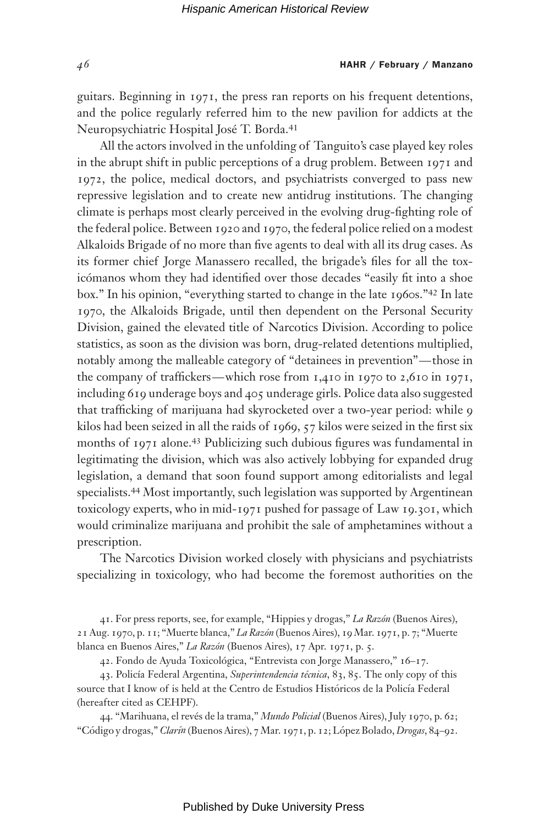guitars. Beginning in 1971, the press ran reports on his frequent detentions, and the police regularly referred him to the new pavilion for addicts at the Neuropsychiatric Hospital José T. Borda.<sup>41</sup>

All the actors involved in the unfolding of Tanguito's case played key roles in the abrupt shift in public perceptions of a drug problem. Between 1971 and 1972, the police, medical doctors, and psychiatrists converged to pass new repressive legislation and to create new antidrug institutions. The changing climate is perhaps most clearly perceived in the evolving drug-fighting role of the federal police. Between 1920 and 1970, the federal police relied on a modest Alkaloids Brigade of no more than five agents to deal with all its drug cases. As its former chief Jorge Manassero recalled, the brigade's files for all the toxicómanos whom they had identified over those decades "easily fit into a shoe box." In his opinion, "everything started to change in the late 1960s."<sup>42</sup> In late 1970, the Alkaloids Brigade, until then dependent on the Personal Security Division, gained the elevated title of Narcotics Division. According to police statistics, as soon as the division was born, drug-related detentions multiplied, notably among the malleable category of ''detainees in prevention''—those in the company of traffickers—which rose from 1,410 in 1970 to 2,610 in 1971, including 619 underage boys and 405 underage girls. Police data also suggested that trafficking of marijuana had skyrocketed over a two-year period: while 9 kilos had been seized in all the raids of 1969, 57 kilos were seized in the first six months of 1971 alone.<sup>43</sup> Publicizing such dubious figures was fundamental in legitimating the division, which was also actively lobbying for expanded drug legislation, a demand that soon found support among editorialists and legal specialists.<sup>44</sup> Most importantly, such legislation was supported by Argentinean toxicology experts, who in mid-1971 pushed for passage of Law 19.301, which would criminalize marijuana and prohibit the sale of amphetamines without a prescription.

The Narcotics Division worked closely with physicians and psychiatrists specializing in toxicology, who had become the foremost authorities on the

41. For press reports, see, for example, "Hippies y drogas," La Razón (Buenos Aires), 21 Aug. 1970, p. 11; "Muerte blanca," La Razón (Buenos Aires), 19 Mar. 1971, p. 7; "Muerte blanca en Buenos Aires," La Razón (Buenos Aires), 17 Apr. 1971, p. 5.

42. Fondo de Ayuda Toxicológica, "Entrevista con Jorge Manassero," 16-17.

43. Policía Federal Argentina, Superintendencia técnica, 83, 85. The only copy of this source that I know of is held at the Centro de Estudios Históricos de la Policía Federal (hereafter cited as CEHPF).

44. "Marihuana, el revés de la trama," Mundo Policial (Buenos Aires), July 1970, p. 62; "Código y drogas," Clarín (Buenos Aires), 7 Mar. 1971, p. 12; López Bolado, Drogas, 84-92.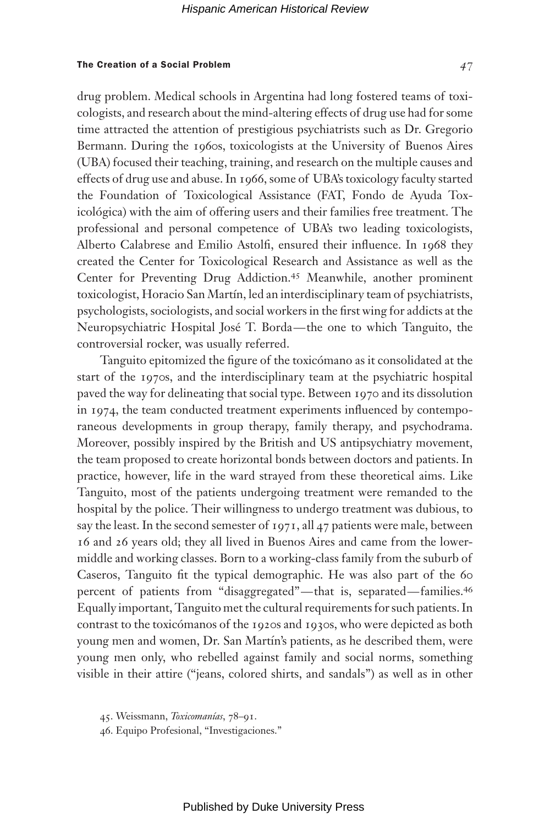drug problem. Medical schools in Argentina had long fostered teams of toxicologists, and research about the mind-altering effects of drug use had for some time attracted the attention of prestigious psychiatrists such as Dr. Gregorio Bermann. During the 1960s, toxicologists at the University of Buenos Aires (UBA) focused their teaching, training, and research on the multiple causes and effects of drug use and abuse. In 1966, some of UBA's toxicology faculty started the Foundation of Toxicological Assistance (FAT, Fondo de Ayuda Toxicológica) with the aim of offering users and their families free treatment. The professional and personal competence of UBA's two leading toxicologists, Alberto Calabrese and Emilio Astolfi, ensured their influence. In 1968 they created the Center for Toxicological Research and Assistance as well as the Center for Preventing Drug Addiction.<sup>45</sup> Meanwhile, another prominent toxicologist, Horacio San Martín, led an interdisciplinary team of psychiatrists, psychologists, sociologists, and social workers in the first wing for addicts at the Neuropsychiatric Hospital Jose´ T. Borda—the one to which Tanguito, the controversial rocker, was usually referred.

Tanguito epitomized the figure of the toxicómano as it consolidated at the start of the 1970s, and the interdisciplinary team at the psychiatric hospital paved the way for delineating that social type. Between 1970 and its dissolution in 1974, the team conducted treatment experiments influenced by contemporaneous developments in group therapy, family therapy, and psychodrama. Moreover, possibly inspired by the British and US antipsychiatry movement, the team proposed to create horizontal bonds between doctors and patients. In practice, however, life in the ward strayed from these theoretical aims. Like Tanguito, most of the patients undergoing treatment were remanded to the hospital by the police. Their willingness to undergo treatment was dubious, to say the least. In the second semester of 1971, all 47 patients were male, between 16 and 26 years old; they all lived in Buenos Aires and came from the lowermiddle and working classes. Born to a working-class family from the suburb of Caseros, Tanguito fit the typical demographic. He was also part of the 60 percent of patients from ''disaggregated''—that is, separated—families.46 Equally important, Tanguito met the cultural requirements for such patients. In contrast to the toxicómanos of the 1920s and 1930s, who were depicted as both young men and women, Dr. San Martín's patients, as he described them, were young men only, who rebelled against family and social norms, something visible in their attire (''jeans, colored shirts, and sandals'') as well as in other

46. Equipo Profesional, ''Investigaciones.''

<sup>45.</sup> Weissmann, Toxicomanías, 78-91.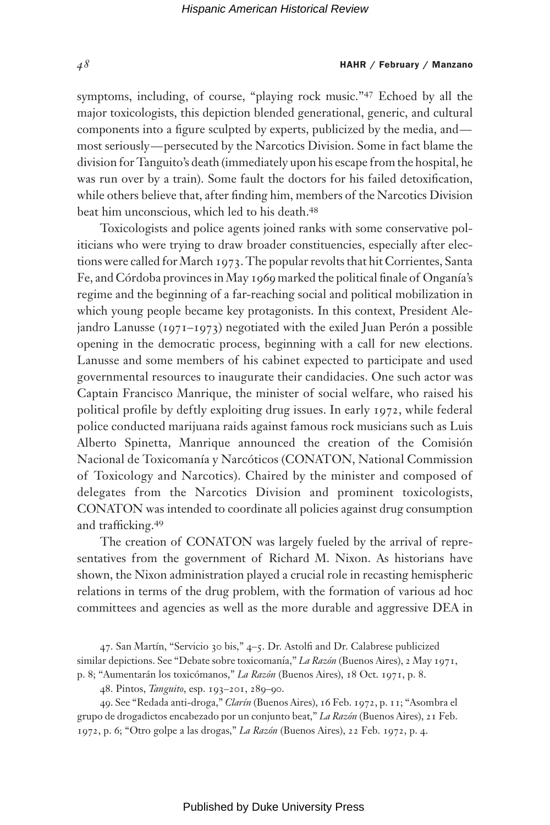symptoms, including, of course, "playing rock music."<sup>47</sup> Echoed by all the major toxicologists, this depiction blended generational, generic, and cultural components into a figure sculpted by experts, publicized by the media, and most seriously—persecuted by the Narcotics Division. Some in fact blame the division for Tanguito's death (immediately upon his escape from the hospital, he was run over by a train). Some fault the doctors for his failed detoxification, while others believe that, after finding him, members of the Narcotics Division beat him unconscious, which led to his death.48

Toxicologists and police agents joined ranks with some conservative politicians who were trying to draw broader constituencies, especially after elections were called for March 1973. The popular revolts that hit Corrientes, Santa Fe, and Córdoba provinces in May 1969 marked the political finale of Onganía's regime and the beginning of a far-reaching social and political mobilization in which young people became key protagonists. In this context, President Alejandro Lanusse  $(1971-1973)$  negotiated with the exiled Juan Perón a possible opening in the democratic process, beginning with a call for new elections. Lanusse and some members of his cabinet expected to participate and used governmental resources to inaugurate their candidacies. One such actor was Captain Francisco Manrique, the minister of social welfare, who raised his political profile by deftly exploiting drug issues. In early 1972, while federal police conducted marijuana raids against famous rock musicians such as Luis Alberto Spinetta, Manrique announced the creation of the Comisión Nacional de Toxicomanía y Narcóticos (CONATON, National Commission of Toxicology and Narcotics). Chaired by the minister and composed of delegates from the Narcotics Division and prominent toxicologists, CONATON was intended to coordinate all policies against drug consumption and trafficking.49

The creation of CONATON was largely fueled by the arrival of representatives from the government of Richard M. Nixon. As historians have shown, the Nixon administration played a crucial role in recasting hemispheric relations in terms of the drug problem, with the formation of various ad hoc committees and agencies as well as the more durable and aggressive DEA in

47. San Martín, "Servicio 30 bis," 4-5. Dr. Astolfi and Dr. Calabrese publicized similar depictions. See "Debate sobre toxicomanía," La Razón (Buenos Aires), 2 May 1971, p. 8; "Aumentarán los toxicómanos," La Razón (Buenos Aires), 18 Oct. 1971, p. 8.

48. Pintos, Tanguito, esp. 193–201, 289–90.

49. See "Redada anti-droga," Clarín (Buenos Aires), 16 Feb. 1972, p. 11; "Asombra el grupo de drogadictos encabezado por un conjunto beat," La Razón (Buenos Aires), 21 Feb. 1972, p. 6; "Otro golpe a las drogas," La Razón (Buenos Aires), 22 Feb. 1972, p. 4.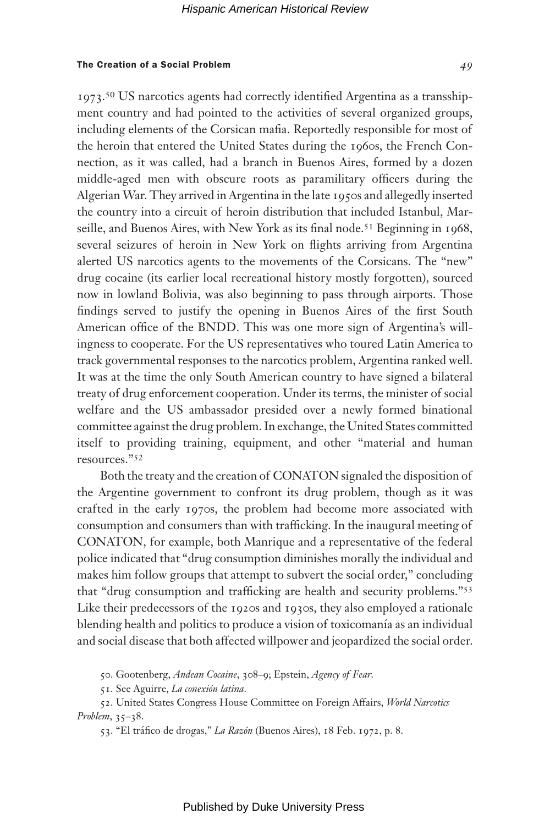1973.50 US narcotics agents had correctly identified Argentina as a transshipment country and had pointed to the activities of several organized groups, including elements of the Corsican mafia. Reportedly responsible for most of the heroin that entered the United States during the 1960s, the French Connection, as it was called, had a branch in Buenos Aires, formed by a dozen middle-aged men with obscure roots as paramilitary officers during the Algerian War. They arrived in Argentina in the late 1950s and allegedly inserted the country into a circuit of heroin distribution that included Istanbul, Marseille, and Buenos Aires, with New York as its final node.51 Beginning in 1968, several seizures of heroin in New York on flights arriving from Argentina alerted US narcotics agents to the movements of the Corsicans. The "new" drug cocaine (its earlier local recreational history mostly forgotten), sourced now in lowland Bolivia, was also beginning to pass through airports. Those findings served to justify the opening in Buenos Aires of the first South American office of the BNDD. This was one more sign of Argentina's willingness to cooperate. For the US representatives who toured Latin America to track governmental responses to the narcotics problem, Argentina ranked well. It was at the time the only South American country to have signed a bilateral treaty of drug enforcement cooperation. Under its terms, the minister of social welfare and the US ambassador presided over a newly formed binational committee against the drug problem. In exchange, the United States committed itself to providing training, equipment, and other ''material and human resources.''52

Both the treaty and the creation of CONATON signaled the disposition of the Argentine government to confront its drug problem, though as it was crafted in the early 1970s, the problem had become more associated with consumption and consumers than with trafficking. In the inaugural meeting of CONATON, for example, both Manrique and a representative of the federal police indicated that ''drug consumption diminishes morally the individual and makes him follow groups that attempt to subvert the social order,'' concluding that ''drug consumption and trafficking are health and security problems.''53 Like their predecessors of the 1920s and 1930s, they also employed a rationale blending health and politics to produce a vision of toxicomanía as an individual and social disease that both affected willpower and jeopardized the social order.

50. Gootenberg, Andean Cocaine, 308–9; Epstein, Agency of Fear.

51. See Aguirre, La conexión latina.

52. United States Congress House Committee on Foreign Affairs, World Narcotics Problem,  $35-38$ .

53. "El tráfico de drogas," La Razón (Buenos Aires), 18 Feb. 1972, p. 8.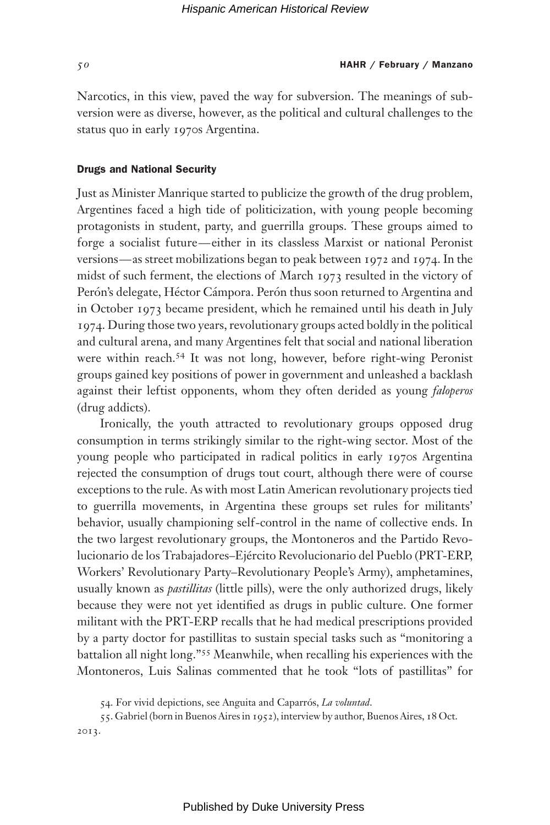Narcotics, in this view, paved the way for subversion. The meanings of subversion were as diverse, however, as the political and cultural challenges to the status quo in early 1970s Argentina.

# Drugs and National Security

Just as Minister Manrique started to publicize the growth of the drug problem, Argentines faced a high tide of politicization, with young people becoming protagonists in student, party, and guerrilla groups. These groups aimed to forge a socialist future—either in its classless Marxist or national Peronist versions—as street mobilizations began to peak between 1972 and 1974. In the midst of such ferment, the elections of March 1973 resulted in the victory of Perón's delegate, Héctor Cámpora. Perón thus soon returned to Argentina and in October 1973 became president, which he remained until his death in July 1974. During those two years, revolutionary groups acted boldly in the political and cultural arena, and many Argentines felt that social and national liberation were within reach.<sup>54</sup> It was not long, however, before right-wing Peronist groups gained key positions of power in government and unleashed a backlash against their leftist opponents, whom they often derided as young faloperos (drug addicts).

Ironically, the youth attracted to revolutionary groups opposed drug consumption in terms strikingly similar to the right-wing sector. Most of the young people who participated in radical politics in early 1970s Argentina rejected the consumption of drugs tout court, although there were of course exceptions to the rule. As with most Latin American revolutionary projects tied to guerrilla movements, in Argentina these groups set rules for militants' behavior, usually championing self-control in the name of collective ends. In the two largest revolutionary groups, the Montoneros and the Partido Revolucionario de los Trabajadores–Ejército Revolucionario del Pueblo (PRT-ERP, Workers' Revolutionary Party–Revolutionary People's Army), amphetamines, usually known as *pastillitas* (little pills), were the only authorized drugs, likely because they were not yet identified as drugs in public culture. One former militant with the PRT-ERP recalls that he had medical prescriptions provided by a party doctor for pastillitas to sustain special tasks such as ''monitoring a battalion all night long.''55 Meanwhile, when recalling his experiences with the Montoneros, Luis Salinas commented that he took ''lots of pastillitas'' for

54. For vivid depictions, see Anguita and Caparrós, La voluntad.

55. Gabriel (born in Buenos Aires in 1952), interview by author, Buenos Aires, 18 Oct. 2013.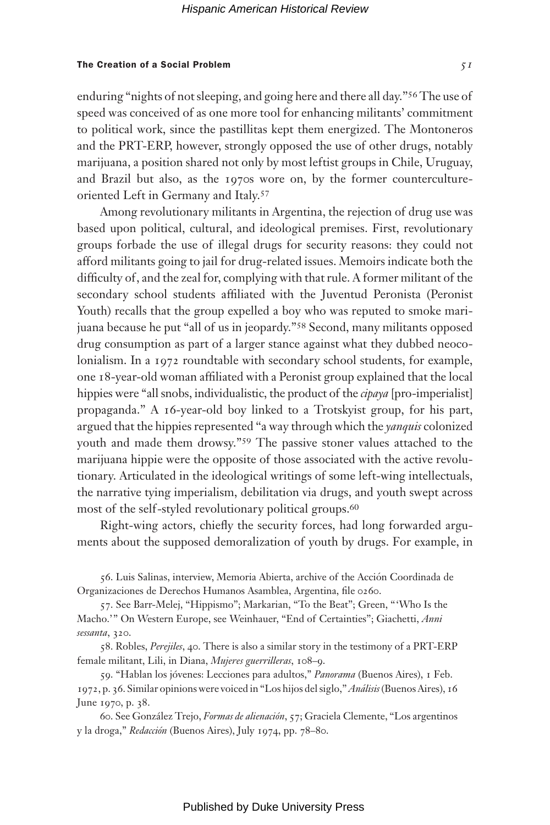enduring "nights of not sleeping, and going here and there all day."<sup>56</sup> The use of speed was conceived of as one more tool for enhancing militants' commitment to political work, since the pastillitas kept them energized. The Montoneros and the PRT-ERP, however, strongly opposed the use of other drugs, notably marijuana, a position shared not only by most leftist groups in Chile, Uruguay, and Brazil but also, as the 1970s wore on, by the former countercultureoriented Left in Germany and Italy.57

Among revolutionary militants in Argentina, the rejection of drug use was based upon political, cultural, and ideological premises. First, revolutionary groups forbade the use of illegal drugs for security reasons: they could not afford militants going to jail for drug-related issues. Memoirs indicate both the difficulty of, and the zeal for, complying with that rule. A former militant of the secondary school students affiliated with the Juventud Peronista (Peronist Youth) recalls that the group expelled a boy who was reputed to smoke marijuana because he put ''all of us in jeopardy.''58 Second, many militants opposed drug consumption as part of a larger stance against what they dubbed neocolonialism. In a 1972 roundtable with secondary school students, for example, one 18-year-old woman affiliated with a Peronist group explained that the local hippies were "all snobs, individualistic, the product of the *cipaya* [pro-imperialist] propaganda.'' A 16-year-old boy linked to a Trotskyist group, for his part, argued that the hippies represented "a way through which the *yanquis* colonized youth and made them drowsy."<sup>59</sup> The passive stoner values attached to the marijuana hippie were the opposite of those associated with the active revolutionary. Articulated in the ideological writings of some left-wing intellectuals, the narrative tying imperialism, debilitation via drugs, and youth swept across most of the self-styled revolutionary political groups.60

Right-wing actors, chiefly the security forces, had long forwarded arguments about the supposed demoralization of youth by drugs. For example, in

56. Luis Salinas, interview, Memoria Abierta, archive of the Acción Coordinada de Organizaciones de Derechos Humanos Asamblea, Argentina, file 0260.

57. See Barr-Melej, "Hippismo"; Markarian, "To the Beat"; Green, "'Who Is the Macho.'" On Western Europe, see Weinhauer, "End of Certainties"; Giachetti, Anni sessanta, 320.

58. Robles, Perejiles, 40. There is also a similar story in the testimony of a PRT-ERP female militant, Lili, in Diana, Mujeres guerrilleras, 108-9.

59. "Hablan los jóvenes: Lecciones para adultos," Panorama (Buenos Aires), 1 Feb. 1972, p. 36. Similar opinions were voiced in "Los hijos del siglo," Análisis (Buenos Aires), 16 June 1970, p. 38.

60. See González Trejo, Formas de alienación, 57; Graciela Clemente, "Los argentinos y la droga," Redacción (Buenos Aires), July 1974, pp. 78-80.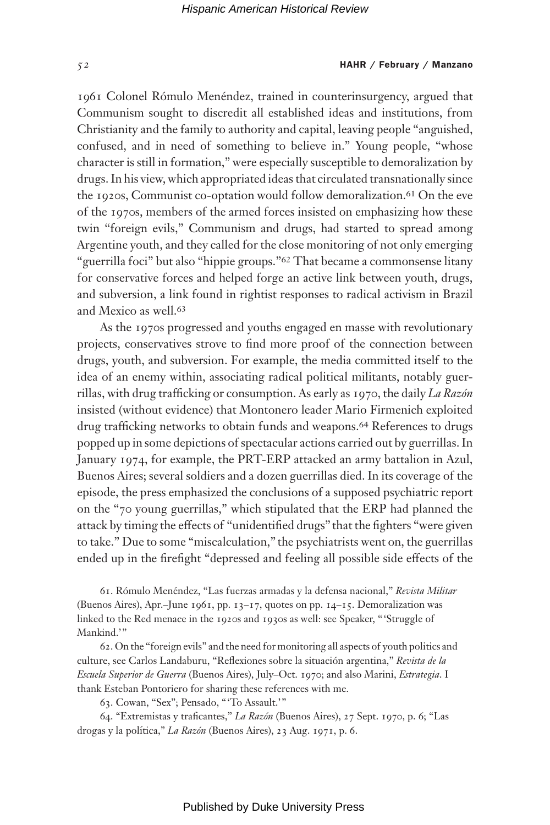1961 Colonel Rómulo Menéndez, trained in counterinsurgency, argued that Communism sought to discredit all established ideas and institutions, from Christianity and the family to authority and capital, leaving people ''anguished, confused, and in need of something to believe in.'' Young people, ''whose character is still in formation,'' were especially susceptible to demoralization by drugs. In his view, which appropriated ideas that circulated transnationally since the 1920s, Communist co-optation would follow demoralization.61 On the eve of the 1970s, members of the armed forces insisted on emphasizing how these twin "foreign evils," Communism and drugs, had started to spread among Argentine youth, and they called for the close monitoring of not only emerging "guerrilla foci" but also "hippie groups."<sup>62</sup> That became a commonsense litany for conservative forces and helped forge an active link between youth, drugs, and subversion, a link found in rightist responses to radical activism in Brazil and Mexico as well.63

As the 1970s progressed and youths engaged en masse with revolutionary projects, conservatives strove to find more proof of the connection between drugs, youth, and subversion. For example, the media committed itself to the idea of an enemy within, associating radical political militants, notably guerrillas, with drug trafficking or consumption. As early as 1970, the daily  $La Razón$ insisted (without evidence) that Montonero leader Mario Firmenich exploited drug trafficking networks to obtain funds and weapons.64 References to drugs popped up in some depictions of spectacular actions carried out by guerrillas. In January 1974, for example, the PRT-ERP attacked an army battalion in Azul, Buenos Aires; several soldiers and a dozen guerrillas died. In its coverage of the episode, the press emphasized the conclusions of a supposed psychiatric report on the ''70 young guerrillas,'' which stipulated that the ERP had planned the attack by timing the effects of ''unidentified drugs''that the fighters ''were given to take.'' Due to some ''miscalculation,'' the psychiatrists went on, the guerrillas ended up in the firefight ''depressed and feeling all possible side effects of the

61. Rómulo Menéndez, "Las fuerzas armadas y la defensa nacional," Revista Militar (Buenos Aires), Apr.–June 1961, pp. 13–17, quotes on pp. 14–15. Demoralization was linked to the Red menace in the 1920s and 1930s as well: see Speaker, '''Struggle of Mankind.'''

62. On the ''foreign evils'' and the need for monitoring all aspects of youth politics and culture, see Carlos Landaburu, "Reflexiones sobre la situación argentina," Revista de la Escuela Superior de Guerra (Buenos Aires), July–Oct. 1970; and also Marini, Estrategia. I thank Esteban Pontoriero for sharing these references with me.

63. Cowan, ''Sex''; Pensado, '''To Assault.'''

64. "Extremistas y traficantes," La Razón (Buenos Aires), 27 Sept. 1970, p. 6; "Las drogas y la política," La Razón (Buenos Aires), 23 Aug. 1971, p. 6.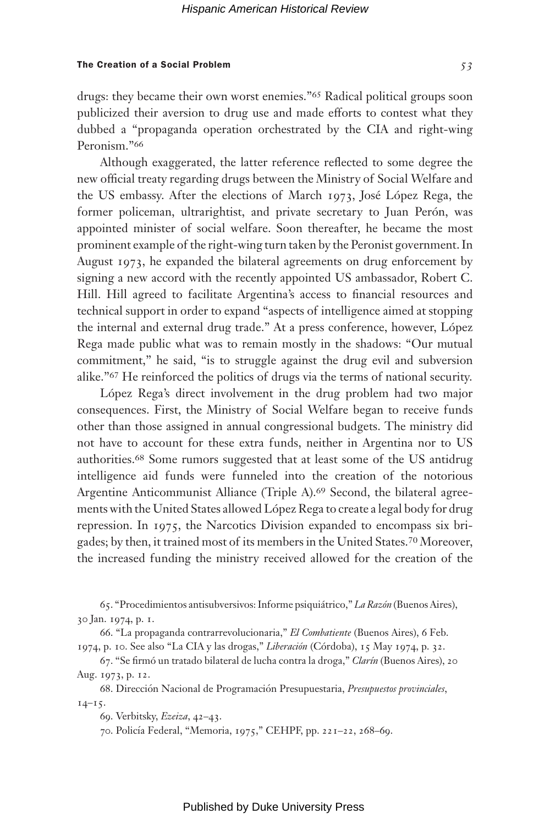drugs: they became their own worst enemies."<sup>65</sup> Radical political groups soon publicized their aversion to drug use and made efforts to contest what they dubbed a ''propaganda operation orchestrated by the CIA and right-wing Peronism."<sup>66</sup>

Although exaggerated, the latter reference reflected to some degree the new official treaty regarding drugs between the Ministry of Social Welfare and the US embassy. After the elections of March 1973, José López Rega, the former policeman, ultrarightist, and private secretary to Juan Perón, was appointed minister of social welfare. Soon thereafter, he became the most prominent example of the right-wing turn taken by the Peronist government. In August 1973, he expanded the bilateral agreements on drug enforcement by signing a new accord with the recently appointed US ambassador, Robert C. Hill. Hill agreed to facilitate Argentina's access to financial resources and technical support in order to expand ''aspects of intelligence aimed at stopping the internal and external drug trade." At a press conference, however, López Rega made public what was to remain mostly in the shadows: ''Our mutual commitment,'' he said, ''is to struggle against the drug evil and subversion alike.''67 He reinforced the politics of drugs via the terms of national security.

López Rega's direct involvement in the drug problem had two major consequences. First, the Ministry of Social Welfare began to receive funds other than those assigned in annual congressional budgets. The ministry did not have to account for these extra funds, neither in Argentina nor to US authorities.68 Some rumors suggested that at least some of the US antidrug intelligence aid funds were funneled into the creation of the notorious Argentine Anticommunist Alliance (Triple A).69 Second, the bilateral agreements with the United States allowed López Rega to create a legal body for drug repression. In 1975, the Narcotics Division expanded to encompass six brigades; by then, it trained most of its members in the United States.70 Moreover, the increased funding the ministry received allowed for the creation of the

65. "Procedimientos antisubversivos: Informe psiquiátrico," La Razón (Buenos Aires), 30 Jan. 1974, p. 1.

66. ''La propaganda contrarrevolucionaria,'' El Combatiente (Buenos Aires), 6 Feb. 1974, p. 10. See also "La CIA y las drogas," Liberación (Córdoba), 15 May 1974, p. 32.

67. "Se firmó un tratado bilateral de lucha contra la droga," Clarín (Buenos Aires), 20 Aug. 1973, p. 12.

68. Dirección Nacional de Programación Presupuestaria, Presupuestos provinciales,  $14-15$ .

69. Verbitsky, Ezeiza, 42–43.

70. Policía Federal, "Memoria, 1975," CEHPF, pp. 221-22, 268-69.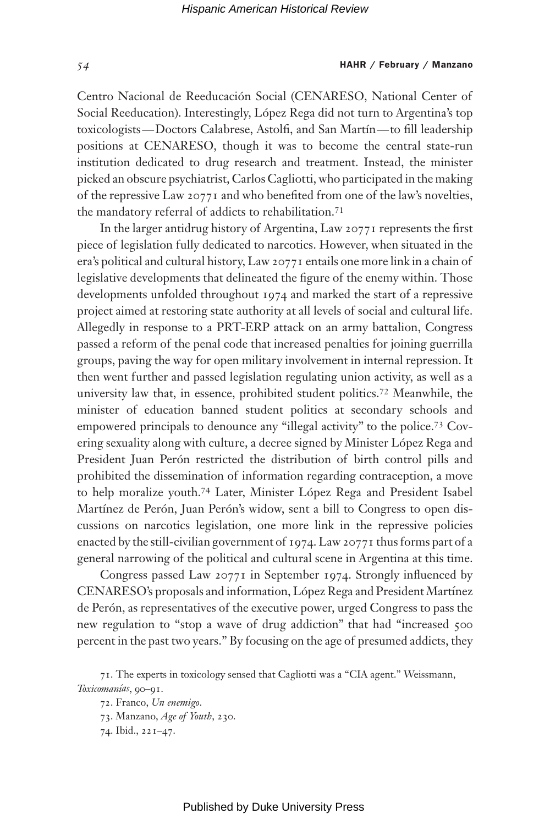Centro Nacional de Reeducación Social (CENARESO, National Center of Social Reeducation). Interestingly, López Rega did not turn to Argentina's top toxicologists—Doctors Calabrese, Astolfi, and San Martín—to fill leadership positions at CENARESO, though it was to become the central state-run institution dedicated to drug research and treatment. Instead, the minister picked an obscure psychiatrist, Carlos Cagliotti, who participated in the making of the repressive Law 20771 and who benefited from one of the law's novelties, the mandatory referral of addicts to rehabilitation.71

In the larger antidrug history of Argentina, Law 20771 represents the first piece of legislation fully dedicated to narcotics. However, when situated in the era's political and cultural history, Law 20771 entails one more link in a chain of legislative developments that delineated the figure of the enemy within. Those developments unfolded throughout 1974 and marked the start of a repressive project aimed at restoring state authority at all levels of social and cultural life. Allegedly in response to a PRT-ERP attack on an army battalion, Congress passed a reform of the penal code that increased penalties for joining guerrilla groups, paving the way for open military involvement in internal repression. It then went further and passed legislation regulating union activity, as well as a university law that, in essence, prohibited student politics.72 Meanwhile, the minister of education banned student politics at secondary schools and empowered principals to denounce any ''illegal activity'' to the police.73 Covering sexuality along with culture, a decree signed by Minister López Rega and President Juan Perón restricted the distribution of birth control pills and prohibited the dissemination of information regarding contraception, a move to help moralize youth.<sup>74</sup> Later, Minister López Rega and President Isabel Martínez de Perón, Juan Perón's widow, sent a bill to Congress to open discussions on narcotics legislation, one more link in the repressive policies enacted by the still-civilian government of  $1974$ . Law 20771 thus forms part of a general narrowing of the political and cultural scene in Argentina at this time.

Congress passed Law 20771 in September 1974. Strongly influenced by CENARESO's proposals and information, López Rega and President Martínez de Perón, as representatives of the executive power, urged Congress to pass the new regulation to ''stop a wave of drug addiction'' that had ''increased 500 percent in the past two years.'' By focusing on the age of presumed addicts, they

<sup>71.</sup> The experts in toxicology sensed that Cagliotti was a ''CIA agent.'' Weissmann, Toxicomanías, 90-91.

<sup>72.</sup> Franco, Un enemigo. 73. Manzano, Age of Youth, 230. 74. Ibid., 221–47.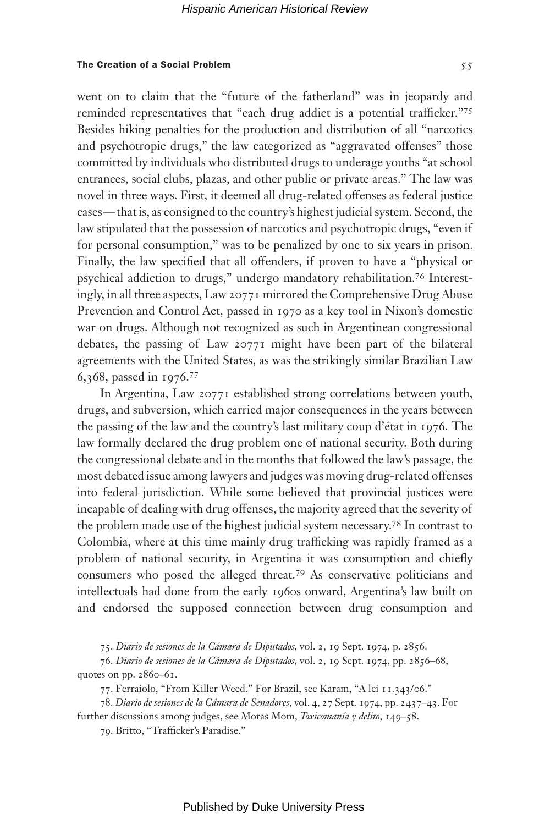went on to claim that the "future of the fatherland" was in jeopardy and reminded representatives that "each drug addict is a potential trafficker."<sup>75</sup> Besides hiking penalties for the production and distribution of all ''narcotics and psychotropic drugs," the law categorized as "aggravated offenses" those committed by individuals who distributed drugs to underage youths ''at school entrances, social clubs, plazas, and other public or private areas.'' The law was novel in three ways. First, it deemed all drug-related offenses as federal justice cases—that is, as consigned to the country's highest judicial system. Second, the law stipulated that the possession of narcotics and psychotropic drugs, "even if for personal consumption,'' was to be penalized by one to six years in prison. Finally, the law specified that all offenders, if proven to have a ''physical or psychical addiction to drugs,'' undergo mandatory rehabilitation.76 Interestingly, in all three aspects, Law 20771 mirrored the Comprehensive Drug Abuse Prevention and Control Act, passed in 1970 as a key tool in Nixon's domestic war on drugs. Although not recognized as such in Argentinean congressional debates, the passing of Law 20771 might have been part of the bilateral agreements with the United States, as was the strikingly similar Brazilian Law 6,368, passed in 1976.77

In Argentina, Law 20771 established strong correlations between youth, drugs, and subversion, which carried major consequences in the years between the passing of the law and the country's last military coup d'état in 1976. The law formally declared the drug problem one of national security. Both during the congressional debate and in the months that followed the law's passage, the most debated issue among lawyers and judges was moving drug-related offenses into federal jurisdiction. While some believed that provincial justices were incapable of dealing with drug offenses, the majority agreed that the severity of the problem made use of the highest judicial system necessary.78 In contrast to Colombia, where at this time mainly drug trafficking was rapidly framed as a problem of national security, in Argentina it was consumption and chiefly consumers who posed the alleged threat.79 As conservative politicians and intellectuals had done from the early 1960s onward, Argentina's law built on and endorsed the supposed connection between drug consumption and

75. Diario de sesiones de la Cámara de Diputados, vol. 2, 19 Sept. 1974, p. 2856.

76. Diario de sesiones de la Ca´mara de Diputados, vol. 2, 19 Sept. 1974, pp. 2856–68, quotes on pp. 2860–61.

77. Ferraiolo, "From Killer Weed." For Brazil, see Karam, "A lei 11.343/06."

78. Diario de sesiones de la Cámara de Senadores, vol. 4, 27 Sept. 1974, pp. 2437-43. For

further discussions among judges, see Moras Mom, Toxicomanía y delito, 149-58.

79. Britto, ''Trafficker's Paradise.''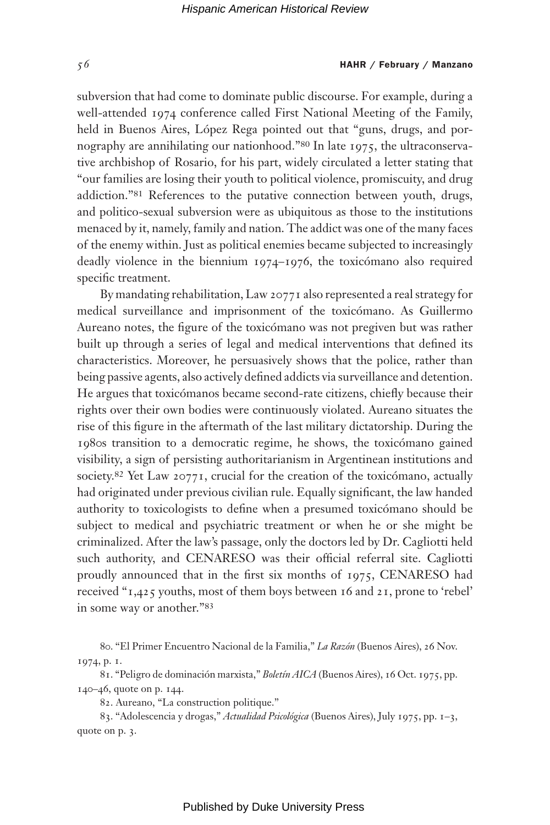subversion that had come to dominate public discourse. For example, during a well-attended 1974 conference called First National Meeting of the Family, held in Buenos Aires, López Rega pointed out that "guns, drugs, and pornography are annihilating our nationhood.''80 In late 1975, the ultraconservative archbishop of Rosario, for his part, widely circulated a letter stating that "our families are losing their youth to political violence, promiscuity, and drug addiction."<sup>81</sup> References to the putative connection between youth, drugs, and politico-sexual subversion were as ubiquitous as those to the institutions menaced by it, namely, family and nation. The addict was one of the many faces of the enemy within. Just as political enemies became subjected to increasingly deadly violence in the biennium  $1974-1976$ , the toxicómano also required specific treatment.

By mandating rehabilitation, Law 20771 also represented a real strategy for medical surveillance and imprisonment of the toxicómano. As Guillermo Aureano notes, the figure of the toxicómano was not pregiven but was rather built up through a series of legal and medical interventions that defined its characteristics. Moreover, he persuasively shows that the police, rather than being passive agents, also actively defined addicts via surveillance and detention. He argues that toxicómanos became second-rate citizens, chiefly because their rights over their own bodies were continuously violated. Aureano situates the rise of this figure in the aftermath of the last military dictatorship. During the 1980s transition to a democratic regime, he shows, the toxicómano gained visibility, a sign of persisting authoritarianism in Argentinean institutions and society.<sup>82</sup> Yet Law 20771, crucial for the creation of the toxicómano, actually had originated under previous civilian rule. Equally significant, the law handed authority to toxicologists to define when a presumed toxicómano should be subject to medical and psychiatric treatment or when he or she might be criminalized. After the law's passage, only the doctors led by Dr. Cagliotti held such authority, and CENARESO was their official referral site. Cagliotti proudly announced that in the first six months of 1975, CENARESO had received ''1,425 youths, most of them boys between 16 and 21, prone to 'rebel' in some way or another."83

80. "El Primer Encuentro Nacional de la Familia," La Razón (Buenos Aires), 26 Nov. 1974, p. 1.

81. "Peligro de dominación marxista," Boletín AICA (Buenos Aires), 16 Oct. 1975, pp. 140–46, quote on p. 144.

82. Aureano, ''La construction politique.''

83. "Adolescencia y drogas," Actualidad Psicológica (Buenos Aires), July 1975, pp. 1–3, quote on p. 3.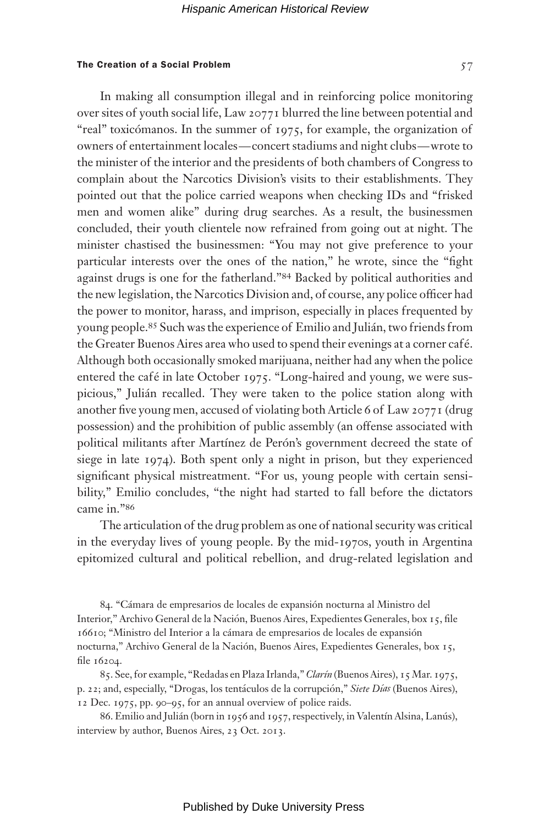In making all consumption illegal and in reinforcing police monitoring over sites of youth social life, Law 20771 blurred the line between potential and "real" toxicómanos. In the summer of  $1975$ , for example, the organization of owners of entertainment locales—concert stadiums and night clubs—wrote to the minister of the interior and the presidents of both chambers of Congress to complain about the Narcotics Division's visits to their establishments. They pointed out that the police carried weapons when checking IDs and ''frisked men and women alike'' during drug searches. As a result, the businessmen concluded, their youth clientele now refrained from going out at night. The minister chastised the businessmen: ''You may not give preference to your particular interests over the ones of the nation," he wrote, since the "fight against drugs is one for the fatherland.''84 Backed by political authorities and the new legislation, the Narcotics Division and, of course, any police officer had the power to monitor, harass, and imprison, especially in places frequented by young people.<sup>85</sup> Such was the experience of Emilio and Julián, two friends from the Greater Buenos Aires area who used to spend their evenings at a corner café. Although both occasionally smoked marijuana, neither had any when the police entered the café in late October 1975. "Long-haired and young, we were suspicious," Julián recalled. They were taken to the police station along with another five young men, accused of violating both Article 6 of Law 20771 (drug possession) and the prohibition of public assembly (an offense associated with political militants after Martínez de Perón's government decreed the state of siege in late 1974). Both spent only a night in prison, but they experienced significant physical mistreatment. "For us, young people with certain sensibility," Emilio concludes, "the night had started to fall before the dictators came in."86

The articulation of the drug problem as one of national security was critical in the everyday lives of young people. By the mid-1970s, youth in Argentina epitomized cultural and political rebellion, and drug-related legislation and

84. "Cámara de empresarios de locales de expansión nocturna al Ministro del Interior," Archivo General de la Nación, Buenos Aires, Expedientes Generales, box 15, file 16610; "Ministro del Interior a la cámara de empresarios de locales de expansión nocturna," Archivo General de la Nación, Buenos Aires, Expedientes Generales, box 15, file 16204.

85. See, for example, "Redadas en Plaza Irlanda," Clarín (Buenos Aires), 15 Mar. 1975, p. 22; and, especially, "Drogas, los tentáculos de la corrupción," Siete Días (Buenos Aires), 12 Dec. 1975, pp. 90–95, for an annual overview of police raids.

86. Emilio and Julián (born in 1956 and 1957, respectively, in Valentín Alsina, Lanús), interview by author, Buenos Aires, 23 Oct. 2013.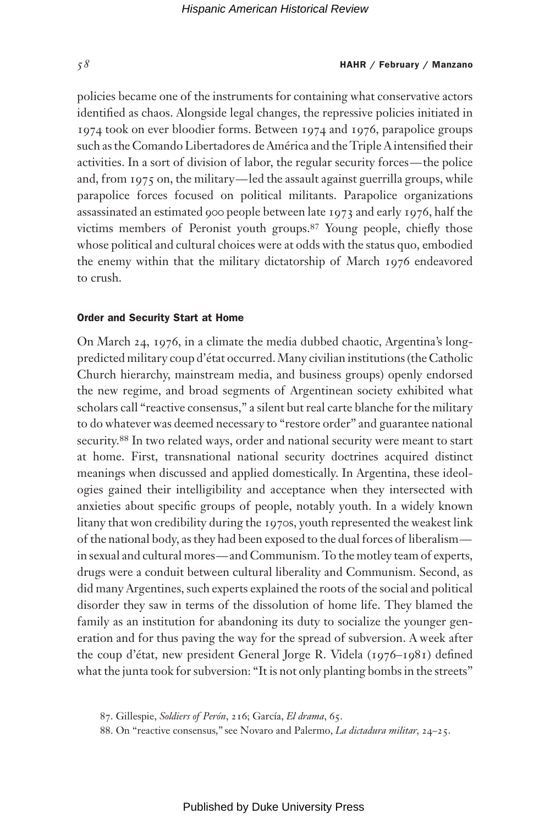policies became one of the instruments for containing what conservative actors identified as chaos. Alongside legal changes, the repressive policies initiated in 1974 took on ever bloodier forms. Between 1974 and 1976, parapolice groups such as the Comando Libertadores de América and the Triple A intensified their activities. In a sort of division of labor, the regular security forces—the police and, from 1975 on, the military—led the assault against guerrilla groups, while parapolice forces focused on political militants. Parapolice organizations assassinated an estimated 900 people between late 1973 and early 1976, half the victims members of Peronist youth groups.87 Young people, chiefly those whose political and cultural choices were at odds with the status quo, embodied the enemy within that the military dictatorship of March 1976 endeavored to crush.

### Order and Security Start at Home

On March 24, 1976, in a climate the media dubbed chaotic, Argentina's longpredicted military coup d'état occurred. Many civilian institutions (the Catholic Church hierarchy, mainstream media, and business groups) openly endorsed the new regime, and broad segments of Argentinean society exhibited what scholars call "reactive consensus," a silent but real carte blanche for the military to do whatever was deemed necessary to ''restore order'' and guarantee national security.<sup>88</sup> In two related ways, order and national security were meant to start at home. First, transnational national security doctrines acquired distinct meanings when discussed and applied domestically. In Argentina, these ideologies gained their intelligibility and acceptance when they intersected with anxieties about specific groups of people, notably youth. In a widely known litany that won credibility during the 1970s, youth represented the weakest link of the national body, as they had been exposed to the dual forces of liberalism in sexual and cultural mores—and Communism. To the motley team of experts, drugs were a conduit between cultural liberality and Communism. Second, as did many Argentines, such experts explained the roots of the social and political disorder they saw in terms of the dissolution of home life. They blamed the family as an institution for abandoning its duty to socialize the younger generation and for thus paving the way for the spread of subversion. A week after the coup d'état, new president General Jorge R. Videla (1976–1981) defined what the junta took for subversion: "It is not only planting bombs in the streets"

87. Gillespie, Soldiers of Perón, 216; García, El drama, 65.

88. On "reactive consensus," see Novaro and Palermo, La dictadura militar, 24–25.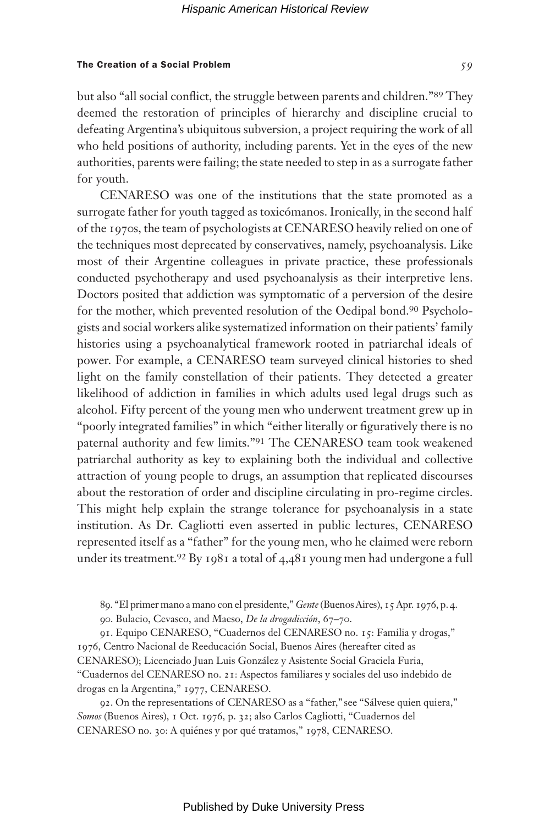but also "all social conflict, the struggle between parents and children."<sup>89</sup> They deemed the restoration of principles of hierarchy and discipline crucial to defeating Argentina's ubiquitous subversion, a project requiring the work of all who held positions of authority, including parents. Yet in the eyes of the new authorities, parents were failing; the state needed to step in as a surrogate father for youth.

CENARESO was one of the institutions that the state promoted as a surrogate father for youth tagged as toxicómanos. Ironically, in the second half of the 1970s, the team of psychologists at CENARESO heavily relied on one of the techniques most deprecated by conservatives, namely, psychoanalysis. Like most of their Argentine colleagues in private practice, these professionals conducted psychotherapy and used psychoanalysis as their interpretive lens. Doctors posited that addiction was symptomatic of a perversion of the desire for the mother, which prevented resolution of the Oedipal bond.90 Psychologists and social workers alike systematized information on their patients' family histories using a psychoanalytical framework rooted in patriarchal ideals of power. For example, a CENARESO team surveyed clinical histories to shed light on the family constellation of their patients. They detected a greater likelihood of addiction in families in which adults used legal drugs such as alcohol. Fifty percent of the young men who underwent treatment grew up in "poorly integrated families" in which "either literally or figuratively there is no paternal authority and few limits."<sup>91</sup> The CENARESO team took weakened patriarchal authority as key to explaining both the individual and collective attraction of young people to drugs, an assumption that replicated discourses about the restoration of order and discipline circulating in pro-regime circles. This might help explain the strange tolerance for psychoanalysis in a state institution. As Dr. Cagliotti even asserted in public lectures, CENARESO represented itself as a ''father'' for the young men, who he claimed were reborn under its treatment.92 By 1981 a total of 4,481 young men had undergone a full

89. ''El primer mano a mano con el presidente,'' Gente(Buenos Aires), 15 Apr. 1976, p. 4.

90. Bulacio, Cevasco, and Maeso, De la drogadicción, 67-70.

91. Equipo CENARESO, ''Cuadernos del CENARESO no. 15: Familia y drogas,'' 1976, Centro Nacional de Reeducación Social, Buenos Aires (hereafter cited as CENARESO); Licenciado Juan Luis Gonza´lez y Asistente Social Graciela Furia, ''Cuadernos del CENARESO no. 21: Aspectos familiares y sociales del uso indebido de drogas en la Argentina,'' 1977, CENARESO.

92. On the representations of CENARESO as a "father," see "Sálvese quien quiera," Somos (Buenos Aires), 1 Oct. 1976, p. 32; also Carlos Cagliotti, ''Cuadernos del CENARESO no. 30: A quiénes y por qué tratamos," 1978, CENARESO.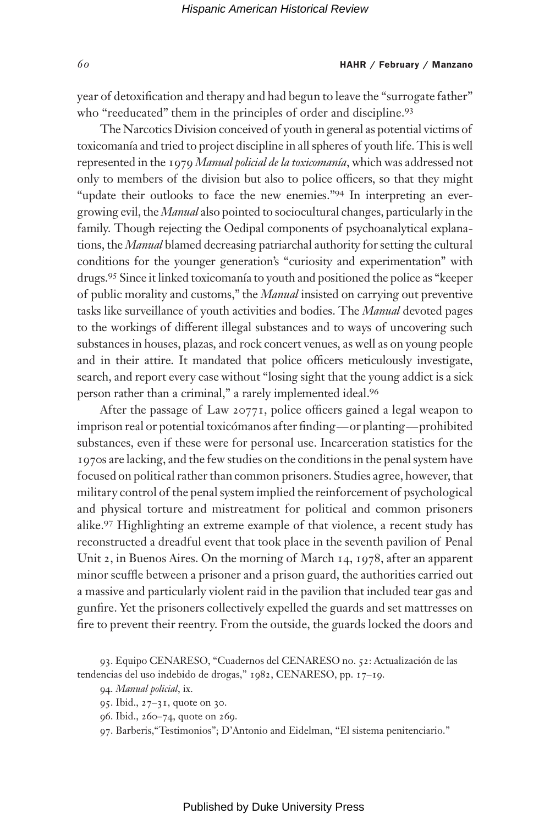year of detoxification and therapy and had begun to leave the ''surrogate father'' who "reeducated" them in the principles of order and discipline.<sup>93</sup>

The Narcotics Division conceived of youth in general as potential victims of toxicomanía and tried to project discipline in all spheres of youth life. This is well represented in the 1979 Manual policial de la toxicomanía, which was addressed not only to members of the division but also to police officers, so that they might "update their outlooks to face the new enemies."<sup>94</sup> In interpreting an evergrowing evil, the Manual also pointed to sociocultural changes, particularly in the family. Though rejecting the Oedipal components of psychoanalytical explanations, the Manual blamed decreasing patriarchal authority for setting the cultural conditions for the younger generation's ''curiosity and experimentation'' with drugs.<sup>95</sup> Since it linked toxicomanía to youth and positioned the police as "keeper of public morality and customs," the *Manual* insisted on carrying out preventive tasks like surveillance of youth activities and bodies. The *Manual* devoted pages to the workings of different illegal substances and to ways of uncovering such substances in houses, plazas, and rock concert venues, as well as on young people and in their attire. It mandated that police officers meticulously investigate, search, and report every case without ''losing sight that the young addict is a sick person rather than a criminal," a rarely implemented ideal.96

After the passage of Law 20771, police officers gained a legal weapon to imprison real or potential toxicómanos after finding—or planting—prohibited substances, even if these were for personal use. Incarceration statistics for the 1970s are lacking, and the few studies on the conditions in the penal system have focused on political rather than common prisoners. Studies agree, however, that military control of the penal system implied the reinforcement of psychological and physical torture and mistreatment for political and common prisoners alike.97 Highlighting an extreme example of that violence, a recent study has reconstructed a dreadful event that took place in the seventh pavilion of Penal Unit 2, in Buenos Aires. On the morning of March 14, 1978, after an apparent minor scuffle between a prisoner and a prison guard, the authorities carried out a massive and particularly violent raid in the pavilion that included tear gas and gunfire. Yet the prisoners collectively expelled the guards and set mattresses on fire to prevent their reentry. From the outside, the guards locked the doors and

96. Ibid., 260–74, quote on 269.

97. Barberis,''Testimonios''; D'Antonio and Eidelman, ''El sistema penitenciario.''

<sup>93.</sup> Equipo CENARESO, "Cuadernos del CENARESO no. 52: Actualización de las tendencias del uso indebido de drogas,'' 1982, CENARESO, pp. 17–19.

<sup>94.</sup> Manual policial, ix.

<sup>95.</sup> Ibid., 27–31, quote on 30.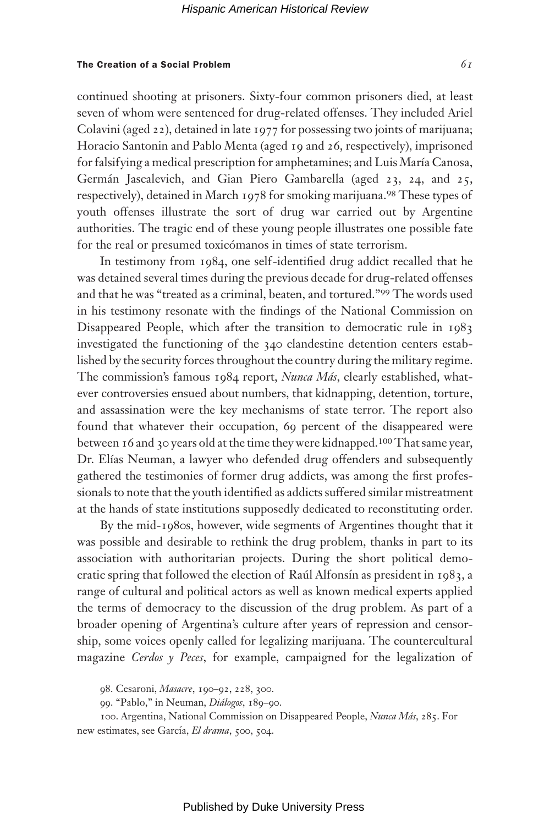continued shooting at prisoners. Sixty-four common prisoners died, at least seven of whom were sentenced for drug-related offenses. They included Ariel Colavini (aged 22), detained in late 1977 for possessing two joints of marijuana; Horacio Santonin and Pablo Menta (aged 19 and 26, respectively), imprisoned for falsifying a medical prescription for amphetamines; and Luis María Canosa, Germa´n Jascalevich, and Gian Piero Gambarella (aged 23, 24, and 25, respectively), detained in March 1978 for smoking marijuana.<sup>98</sup> These types of youth offenses illustrate the sort of drug war carried out by Argentine authorities. The tragic end of these young people illustrates one possible fate for the real or presumed toxicómanos in times of state terrorism.

In testimony from 1984, one self-identified drug addict recalled that he was detained several times during the previous decade for drug-related offenses and that he was ''treated as a criminal, beaten, and tortured.''99 The words used in his testimony resonate with the findings of the National Commission on Disappeared People, which after the transition to democratic rule in 1983 investigated the functioning of the 340 clandestine detention centers established by the security forces throughout the country during the military regime. The commission's famous 1984 report, Nunca Más, clearly established, whatever controversies ensued about numbers, that kidnapping, detention, torture, and assassination were the key mechanisms of state terror. The report also found that whatever their occupation, 69 percent of the disappeared were between 16 and 30 years old at the time they were kidnapped.<sup>100</sup> That same year, Dr. Elías Neuman, a lawyer who defended drug offenders and subsequently gathered the testimonies of former drug addicts, was among the first professionals to note that the youth identified as addicts suffered similar mistreatment at the hands of state institutions supposedly dedicated to reconstituting order.

By the mid-1980s, however, wide segments of Argentines thought that it was possible and desirable to rethink the drug problem, thanks in part to its association with authoritarian projects. During the short political democratic spring that followed the election of Raúl Alfonsín as president in  $1983$ , a range of cultural and political actors as well as known medical experts applied the terms of democracy to the discussion of the drug problem. As part of a broader opening of Argentina's culture after years of repression and censorship, some voices openly called for legalizing marijuana. The countercultural magazine Cerdos y Peces, for example, campaigned for the legalization of

<sup>98.</sup> Cesaroni, Masacre, 190–92, 228, 300.

<sup>99. &</sup>quot;Pablo," in Neuman, Diálogos, 189-90.

<sup>100.</sup> Argentina, National Commission on Disappeared People, Nunca Más, 285. For new estimates, see García, El drama, 500, 504.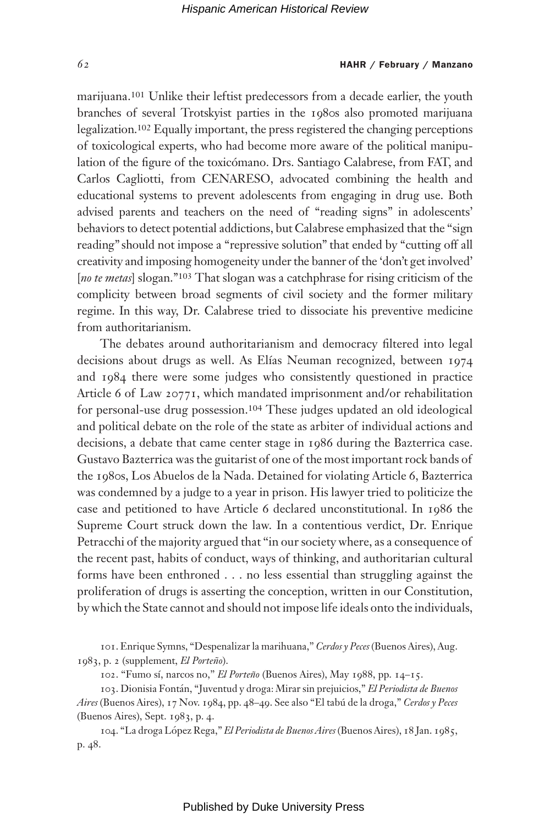marijuana.101 Unlike their leftist predecessors from a decade earlier, the youth branches of several Trotskyist parties in the 1980s also promoted marijuana legalization.102 Equally important, the press registered the changing perceptions of toxicological experts, who had become more aware of the political manipulation of the figure of the toxicómano. Drs. Santiago Calabrese, from FAT, and Carlos Cagliotti, from CENARESO, advocated combining the health and educational systems to prevent adolescents from engaging in drug use. Both advised parents and teachers on the need of "reading signs" in adolescents' behaviors to detect potential addictions, but Calabrese emphasized that the "sign reading''should not impose a ''repressive solution'' that ended by ''cutting off all creativity and imposing homogeneity under the banner of the 'don't get involved' [no te metas] slogan."<sup>103</sup> That slogan was a catchphrase for rising criticism of the complicity between broad segments of civil society and the former military regime. In this way, Dr. Calabrese tried to dissociate his preventive medicine from authoritarianism.

The debates around authoritarianism and democracy filtered into legal decisions about drugs as well. As Elías Neuman recognized, between 1974 and 1984 there were some judges who consistently questioned in practice Article 6 of Law 20771, which mandated imprisonment and/or rehabilitation for personal-use drug possession.104 These judges updated an old ideological and political debate on the role of the state as arbiter of individual actions and decisions, a debate that came center stage in 1986 during the Bazterrica case. Gustavo Bazterrica was the guitarist of one of the most important rock bands of the 1980s, Los Abuelos de la Nada. Detained for violating Article 6, Bazterrica was condemned by a judge to a year in prison. His lawyer tried to politicize the case and petitioned to have Article 6 declared unconstitutional. In 1986 the Supreme Court struck down the law. In a contentious verdict, Dr. Enrique Petracchi of the majority argued that ''in our society where, as a consequence of the recent past, habits of conduct, ways of thinking, and authoritarian cultural forms have been enthroned . . . no less essential than struggling against the proliferation of drugs is asserting the conception, written in our Constitution, by which the State cannot and should not impose life ideals onto the individuals,

101. Enrique Symns, "Despenalizar la marihuana," Cerdos y Peces (Buenos Aires), Aug.  $1983$ , p. 2 (supplement, El Porteño).

102. "Fumo sí, narcos no," El Porteño (Buenos Aires), May 1988, pp. 14-15.

103. Dionisia Fontán, "Juventud y droga: Mirar sin prejuicios," El Periodista de Buenos Aires (Buenos Aires), 17 Nov. 1984, pp. 48-49. See also "El tabú de la droga," Cerdos y Peces (Buenos Aires), Sept. 1983, p. 4.

104. "La droga López Rega," El Periodista de Buenos Aires (Buenos Aires), 18 Jan. 1985, p. 48.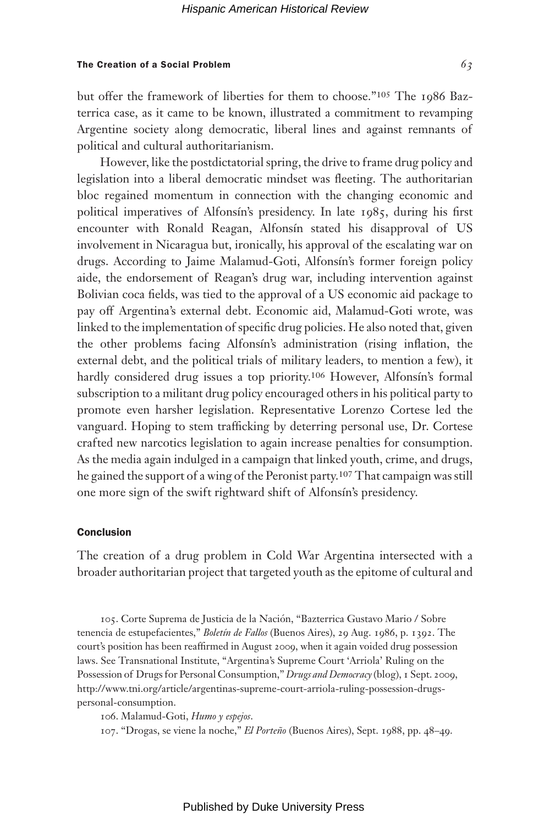but offer the framework of liberties for them to choose.''105 The 1986 Bazterrica case, as it came to be known, illustrated a commitment to revamping Argentine society along democratic, liberal lines and against remnants of political and cultural authoritarianism.

However, like the postdictatorial spring, the drive to frame drug policy and legislation into a liberal democratic mindset was fleeting. The authoritarian bloc regained momentum in connection with the changing economic and political imperatives of Alfonsín's presidency. In late 1985, during his first encounter with Ronald Reagan, Alfonsin stated his disapproval of US involvement in Nicaragua but, ironically, his approval of the escalating war on drugs. According to Jaime Malamud-Goti, Alfonsín's former foreign policy aide, the endorsement of Reagan's drug war, including intervention against Bolivian coca fields, was tied to the approval of a US economic aid package to pay off Argentina's external debt. Economic aid, Malamud-Goti wrote, was linked to the implementation of specific drug policies. He also noted that, given the other problems facing Alfonsin's administration (rising inflation, the external debt, and the political trials of military leaders, to mention a few), it hardly considered drug issues a top priority.<sup>106</sup> However, Alfonsín's formal subscription to a militant drug policy encouraged others in his political party to promote even harsher legislation. Representative Lorenzo Cortese led the vanguard. Hoping to stem trafficking by deterring personal use, Dr. Cortese crafted new narcotics legislation to again increase penalties for consumption. As the media again indulged in a campaign that linked youth, crime, and drugs, he gained the support of a wing of the Peronist party.107 That campaign was still one more sign of the swift rightward shift of Alfonsin's presidency.

# Conclusion

The creation of a drug problem in Cold War Argentina intersected with a broader authoritarian project that targeted youth as the epitome of cultural and

105. Corte Suprema de Justicia de la Nación, "Bazterrica Gustavo Mario / Sobre tenencia de estupefacientes," Boletín de Fallos (Buenos Aires), 29 Aug. 1986, p. 1392. The court's position has been reaffirmed in August 2009, when it again voided drug possession laws. See Transnational Institute, ''Argentina's Supreme Court 'Arriola' Ruling on the Possession of Drugs for Personal Consumption," Drugs and Democracy (blog), 1 Sept. 2009, http://www.tni.org/article/argentinas-supreme-court-arriola-ruling-possession-drugspersonal-consumption.

106. Malamud-Goti, Humo y espejos.

107. "Drogas, se viene la noche," El Porteño (Buenos Aires), Sept. 1988, pp. 48–49.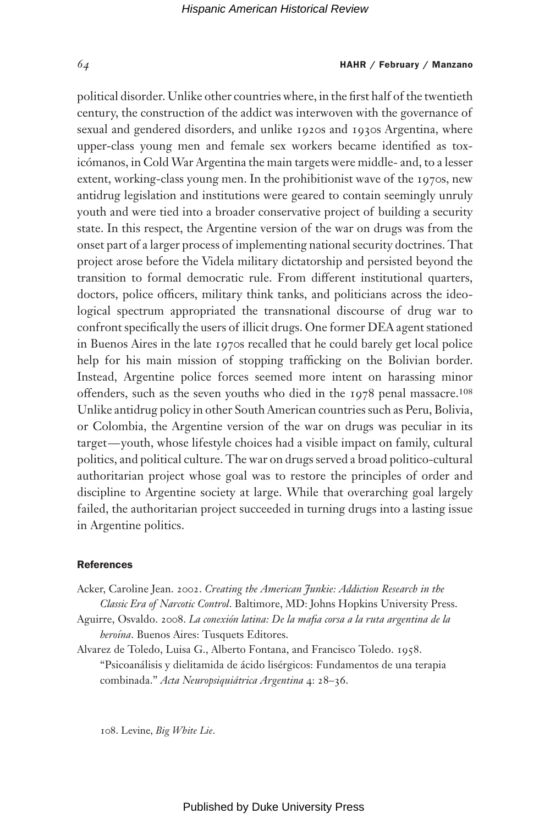political disorder. Unlike other countries where, in the first half of the twentieth century, the construction of the addict was interwoven with the governance of sexual and gendered disorders, and unlike 1920s and 1930s Argentina, where upper-class young men and female sex workers became identified as toxicómanos, in Cold War Argentina the main targets were middle- and, to a lesser extent, working-class young men. In the prohibitionist wave of the 1970s, new antidrug legislation and institutions were geared to contain seemingly unruly youth and were tied into a broader conservative project of building a security state. In this respect, the Argentine version of the war on drugs was from the onset part of a larger process of implementing national security doctrines. That project arose before the Videla military dictatorship and persisted beyond the transition to formal democratic rule. From different institutional quarters, doctors, police officers, military think tanks, and politicians across the ideological spectrum appropriated the transnational discourse of drug war to confront specifically the users of illicit drugs. One former DEA agent stationed in Buenos Aires in the late 1970s recalled that he could barely get local police help for his main mission of stopping trafficking on the Bolivian border. Instead, Argentine police forces seemed more intent on harassing minor offenders, such as the seven youths who died in the 1978 penal massacre.108 Unlike antidrug policy in other South American countries such as Peru, Bolivia, or Colombia, the Argentine version of the war on drugs was peculiar in its target—youth, whose lifestyle choices had a visible impact on family, cultural politics, and political culture. The war on drugs served a broad politico-cultural authoritarian project whose goal was to restore the principles of order and discipline to Argentine society at large. While that overarching goal largely failed, the authoritarian project succeeded in turning drugs into a lasting issue in Argentine politics.

# References

- Acker, Caroline Jean. 2002. Creating the American Junkie: Addiction Research in the Classic Era of Narcotic Control. Baltimore, MD: Johns Hopkins University Press.
- Aguirre, Osvaldo. 2008. La conexión latina: De la mafia corsa a la ruta argentina de la heroina. Buenos Aires: Tusquets Editores.
- Alvarez de Toledo, Luisa G., Alberto Fontana, and Francisco Toledo. 1958. "Psicoanálisis y dielitamida de ácido lisérgicos: Fundamentos de una terapia combinada." Acta Neuropsiquiátrica Argentina 4: 28-36.

108. Levine, Big White Lie.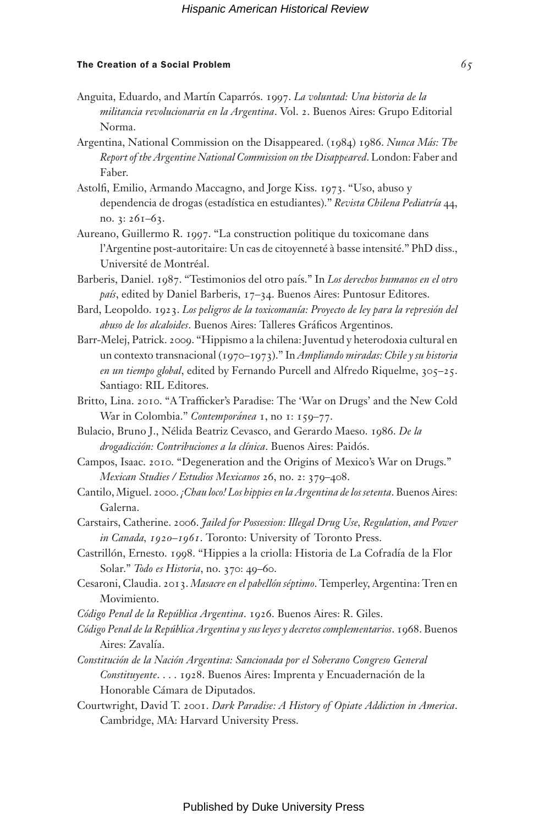- Anguita, Eduardo, and Martín Caparrós. 1997. La voluntad: Una historia de la militancia revolucionaria en la Argentina. Vol. 2. Buenos Aires: Grupo Editorial Norma.
- Argentina, National Commission on the Disappeared. (1984) 1986. Nunca Más: The Report of the Argentine National Commission on the Disappeared. London: Faber and Faber.
- Astolfi, Emilio, Armando Maccagno, and Jorge Kiss. 1973. ''Uso, abuso y dependencia de drogas (estadística en estudiantes)." Revista Chilena Pediatría 44, no. 3: 261–63.
- Aureano, Guillermo R. 1997. ''La construction politique du toxicomane dans l'Argentine post-autoritaire: Un cas de citoyenneté à basse intensité." PhD diss., Université de Montréal.
- Barberis, Daniel. 1987. "Testimonios del otro país." In Los derechos humanos en el otro país, edited by Daniel Barberis, 17-34. Buenos Aires: Puntosur Editores.
- Bard, Leopoldo. 1923. Los peligros de la toxicomanía: Proyecto de ley para la represión del abuso de los alcaloides. Buenos Aires: Talleres Gráficos Argentinos.
- Barr-Melej, Patrick. 2009. ''Hippismo a la chilena: Juventud y heterodoxia cultural en un contexto transnacional (1970–1973)." In Ampliando miradas: Chile y su historia en un tiempo global, edited by Fernando Purcell and Alfredo Riquelme, 305–25. Santiago: RIL Editores.
- Britto, Lina. 2010. "A Trafficker's Paradise: The 'War on Drugs' and the New Cold War in Colombia." Contemporánea 1, no 1: 159-77.
- Bulacio, Bruno J., Nélida Beatriz Cevasco, and Gerardo Maeso. 1986. De la drogadicción: Contribuciones a la clínica. Buenos Aires: Paidós.
- Campos, Isaac. 2010. ''Degeneration and the Origins of Mexico's War on Drugs.'' Mexican Studies / Estudios Mexicanos 26, no. 2: 379–408.
- Cantilo, Miguel. 2000. ¡Chau loco! Los hippies en la Argentina de los setenta. Buenos Aires: Galerna.
- Carstairs, Catherine. 2006. Jailed for Possession: Illegal Drug Use, Regulation, and Power in Canada, 1920–1961. Toronto: University of Toronto Press.
- Castrillón, Ernesto. 1998. "Hippies a la criolla: Historia de La Cofradía de la Flor Solar." Todo es Historia, no. 370: 49-60.
- Cesaroni, Claudia. 2013. Masacre en el pabellón séptimo. Temperley, Argentina: Tren en Movimiento.

Código Penal de la República Argentina. 1926. Buenos Aires: R. Giles.

Código Penal de la República Argentina y sus leyes y decretos complementarios. 1968. Buenos Aires: Zavalía.

- Constitución de la Nación Argentina: Sancionada por el Soberano Congreso General Constituyente. . . . 1928. Buenos Aires: Imprenta y Encuadernación de la Honorable Cámara de Diputados.
- Courtwright, David T. 2001. Dark Paradise: A History of Opiate Addiction in America. Cambridge, MA: Harvard University Press.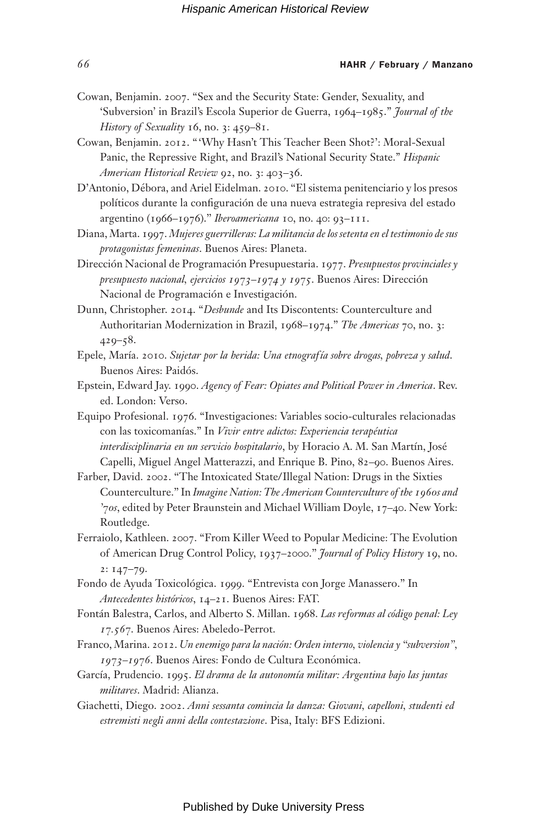- Cowan, Benjamin. 2007. ''Sex and the Security State: Gender, Sexuality, and 'Subversion' in Brazil's Escola Superior de Guerra, 1964-1985." Journal of the History of Sexuality 16, no. 3: 459-81.
- Cowan, Benjamin. 2012. '''Why Hasn't This Teacher Been Shot?': Moral-Sexual Panic, the Repressive Right, and Brazil's National Security State." Hispanic American Historical Review 92, no. 3: 403–36.
- D'Antonio, Débora, and Ariel Eidelman. 2010. "El sistema penitenciario y los presos políticos durante la configuración de una nueva estrategia represiva del estado argentino (1966–1976).'' Iberoamericana 10, no. 40: 93–111.
- Diana, Marta. 1997. Mujeres guerrilleras: La militancia de los setenta en el testimonio de sus protagonistas femeninas. Buenos Aires: Planeta.
- Dirección Nacional de Programación Presupuestaria. 1977. Presupuestos provinciales y presupuesto nacional, ejercicios 1973–1974 y 1975. Buenos Aires: Dirección Nacional de Programación e Investigación.
- Dunn, Christopher. 2014. ''Desbunde and Its Discontents: Counterculture and Authoritarian Modernization in Brazil, 1968–1974.'' The Americas 70, no. 3: 429–58.
- Epele, María. 2010. Sujetar por la herida: Una etnografía sobre drogas, pobreza y salud. Buenos Aires: Paidós.
- Epstein, Edward Jay. 1990. Agency of Fear: Opiates and Political Power in America. Rev. ed. London: Verso.
- Equipo Profesional. 1976. ''Investigaciones: Variables socio-culturales relacionadas con las toxicomanías." In Vivir entre adictos: Experiencia terapéutica interdisciplinaria en un servicio hospitalario, by Horacio A. M. San Martín, José Capelli, Miguel Angel Matterazzi, and Enrique B. Pino, 82–90. Buenos Aires.
- Farber, David. 2002. ''The Intoxicated State/Illegal Nation: Drugs in the Sixties Counterculture." In Imagine Nation: The American Counterculture of the 1960s and '70s, edited by Peter Braunstein and Michael William Doyle, 17–40. New York: Routledge.
- Ferraiolo, Kathleen. 2007. ''From Killer Weed to Popular Medicine: The Evolution of American Drug Control Policy, 1937-2000." Journal of Policy History 19, no. 2: 147–79.
- Fondo de Ayuda Toxicológica. 1999. "Entrevista con Jorge Manassero." In Antecedentes históricos, 14-21. Buenos Aires: FAT.
- Fontán Balestra, Carlos, and Alberto S. Millan. 1968. Las reformas al código penal: Ley 17.567. Buenos Aires: Abeledo-Perrot.
- Franco, Marina. 2012. Un enemigo para la nación: Orden interno, violencia y "subversion", 1973–1976. Buenos Aires: Fondo de Cultura Económica.
- García, Prudencio. 1995. El drama de la autonomía militar: Argentina bajo las juntas militares. Madrid: Alianza.
- Giachetti, Diego. 2002. Anni sessanta comincia la danza: Giovani, capelloni, studenti ed estremisti negli anni della contestazione. Pisa, Italy: BFS Edizioni.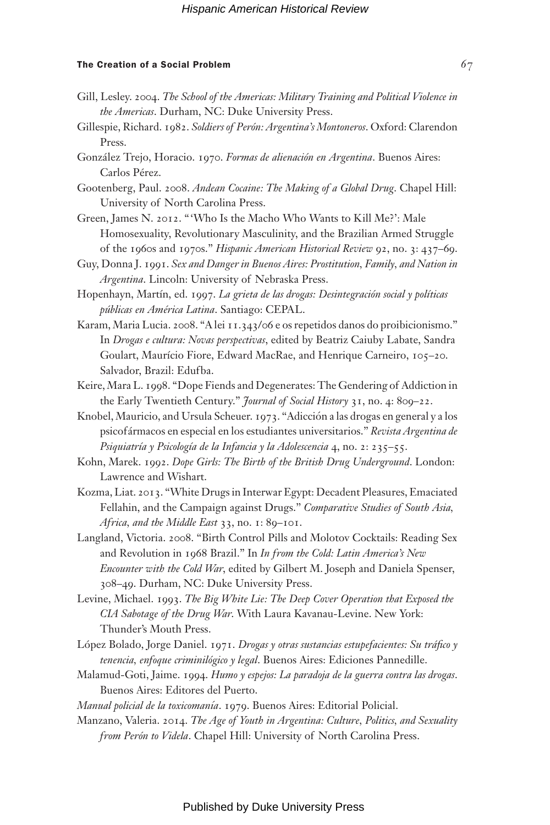- Gill, Lesley. 2004. The School of the Americas: Military Training and Political Violence in the Americas. Durham, NC: Duke University Press.
- Gillespie, Richard. 1982. Soldiers of Perón: Argentina's Montoneros. Oxford: Clarendon Press.
- González Trejo, Horacio. 1970. Formas de alienación en Argentina. Buenos Aires: Carlos Pérez.
- Gootenberg, Paul. 2008. Andean Cocaine: The Making of a Global Drug. Chapel Hill: University of North Carolina Press.
- Green, James N. 2012. '''Who Is the Macho Who Wants to Kill Me?': Male Homosexuality, Revolutionary Masculinity, and the Brazilian Armed Struggle of the 1960s and 1970s.'' Hispanic American Historical Review 92, no. 3: 437–69.
- Guy, Donna J. 1991. Sex and Danger in Buenos Aires: Prostitution, Family, and Nation in Argentina. Lincoln: University of Nebraska Press.
- Hopenhayn, Martín, ed. 1997. La grieta de las drogas: Desintegración social y políticas públicas en América Latina. Santiago: CEPAL.
- Karam, Maria Lucia. 2008. ''A lei 11.343/06 e os repetidos danos do proibicionismo.'' In Drogas e cultura: Novas perspectivas, edited by Beatriz Caiuby Labate, Sandra Goulart, Maurício Fiore, Edward MacRae, and Henrique Carneiro, 105-20. Salvador, Brazil: Edufba.
- Keire, Mara L. 1998. ''Dope Fiends and Degenerates: The Gendering of Addiction in the Early Twentieth Century." *Journal of Social History* 31, no. 4: 809-22.
- Knobel, Mauricio, and Ursula Scheuer. 1973. "Adicción a las drogas en general y a los psicofármacos en especial en los estudiantes universitarios." Revista Argentina de Psiquiatría y Psicología de la Infancia y la Adolescencia 4, no. 2: 235–55.
- Kohn, Marek. 1992. Dope Girls: The Birth of the British Drug Underground. London: Lawrence and Wishart.
- Kozma, Liat. 2013. ''White Drugs in Interwar Egypt: Decadent Pleasures, Emaciated Fellahin, and the Campaign against Drugs.'' Comparative Studies of South Asia, Africa, and the Middle East 33, no. 1: 89-101.
- Langland, Victoria. 2008. ''Birth Control Pills and Molotov Cocktails: Reading Sex and Revolution in 1968 Brazil.'' In In from the Cold: Latin America's New Encounter with the Cold War, edited by Gilbert M. Joseph and Daniela Spenser, 308–49. Durham, NC: Duke University Press.
- Levine, Michael. 1993. The Big White Lie: The Deep Cover Operation that Exposed the CIA Sabotage of the Drug War. With Laura Kavanau-Levine. New York: Thunder's Mouth Press.
- López Bolado, Jorge Daniel. 1971. Drogas y otras sustancias estupefacientes: Su tráfico y tenencia, enfoque criminilógico y legal. Buenos Aires: Ediciones Pannedille.
- Malamud-Goti, Jaime. 1994. Humo y espejos: La paradoja de la guerra contra las drogas. Buenos Aires: Editores del Puerto.
- Manual policial de la toxicomanía. 1979. Buenos Aires: Editorial Policial.
- Manzano, Valeria. 2014. The Age of Youth in Argentina: Culture, Politics, and Sexuality from Perón to Videla. Chapel Hill: University of North Carolina Press.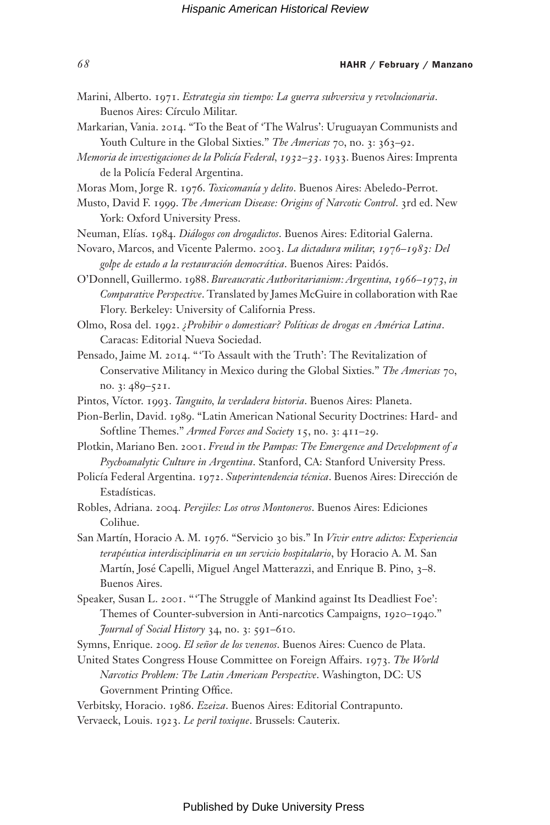- Marini, Alberto. 1971. Estrategia sin tiempo: La guerra subversiva y revolucionaria. Buenos Aires: Círculo Militar.
- Markarian, Vania. 2014. ''To the Beat of 'The Walrus': Uruguayan Communists and Youth Culture in the Global Sixties." The Americas 70, no. 3: 363-92.
- Memoria de investigaciones de la Policía Federal, 1932-33. 1933. Buenos Aires: Imprenta de la Policía Federal Argentina.
- Moras Mom, Jorge R. 1976. Toxicomanía y delito. Buenos Aires: Abeledo-Perrot.
- Musto, David F. 1999. The American Disease: Origins of Narcotic Control. 3rd ed. New York: Oxford University Press.
- Neuman, Elías. 1984. Diálogos con drogadictos. Buenos Aires: Editorial Galerna.
- Novaro, Marcos, and Vicente Palermo. 2003. La dictadura militar, 1976–1983: Del golpe de estado a la restauración democrática. Buenos Aires: Paidós.
- O'Donnell, Guillermo. 1988. Bureaucratic Authoritarianism: Argentina, 1966–1973, in Comparative Perspective. Translated by James McGuire in collaboration with Rae Flory. Berkeley: University of California Press.
- Olmo, Rosa del. 1992. ¿Prohibir o domesticar? Políticas de drogas en América Latina. Caracas: Editorial Nueva Sociedad.
- Pensado, Jaime M. 2014. '''To Assault with the Truth': The Revitalization of Conservative Militancy in Mexico during the Global Sixties.'' The Americas 70, no. 3: 489–521.
- Pintos, Víctor. 1993. Tanguito, la verdadera historia. Buenos Aires: Planeta.
- Pion-Berlin, David. 1989. "Latin American National Security Doctrines: Hard- and Softline Themes." Armed Forces and Society 15, no. 3: 411-29.
- Plotkin, Mariano Ben. 2001. Freud in the Pampas: The Emergence and Development of a Psychoanalytic Culture in Argentina. Stanford, CA: Stanford University Press.
- Policía Federal Argentina. 1972. Superintendencia técnica. Buenos Aires: Dirección de Estadísticas.
- Robles, Adriana. 2004. Perejiles: Los otros Montoneros. Buenos Aires: Ediciones Colihue.
- San Martín, Horacio A. M. 1976. "Servicio 30 bis." In Vivir entre adictos: Experiencia terapéutica interdisciplinaria en un servicio hospitalario, by Horacio A. M. San Martín, José Capelli, Miguel Angel Matterazzi, and Enrique B. Pino, 3-8. Buenos Aires.
- Speaker, Susan L. 2001. '''The Struggle of Mankind against Its Deadliest Foe': Themes of Counter-subversion in Anti-narcotics Campaigns, 1920–1940.'' Journal of Social History 34, no. 3: 591–610.
- Symns, Enrique. 2009. El señor de los venenos. Buenos Aires: Cuenco de Plata.
- United States Congress House Committee on Foreign Affairs. 1973. The World Narcotics Problem: The Latin American Perspective. Washington, DC: US Government Printing Office.
- Verbitsky, Horacio. 1986. Ezeiza. Buenos Aires: Editorial Contrapunto.
- Vervaeck, Louis. 1923. Le peril toxique. Brussels: Cauterix.